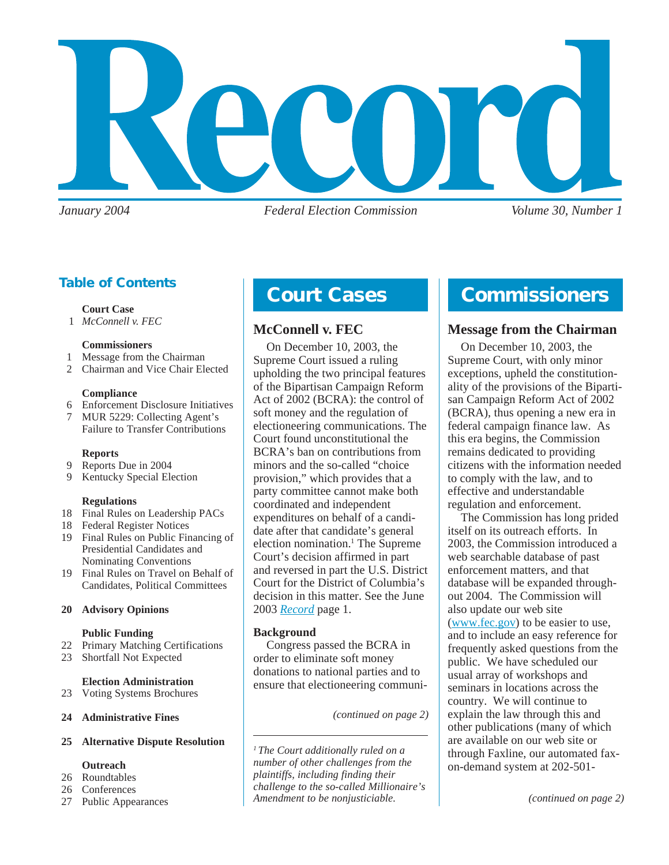

*January 2004 Federal Election Commission Volume 30, Number 1*

# **Table of Contents**

#### **Court Case**

1 *McConnell v. FEC*

#### **Commissioners**

- 1 Message from the Chairman
- 2 Chairman and Vice Chair Elected

#### **Compliance**

- 6 Enforcement Disclosure Initiatives
- 7 MUR 5229: Collecting Agent's Failure to Transfer Contributions
- 

### **Reports**

- 9 Reports Due in 2004
- 9 Kentucky Special Election

### **Regulations**

- 18 Final Rules on Leadership PACs
- 18 Federal Register Notices
- 19 Final Rules on Public Financing of Presidential Candidates and Nominating Conventions
- 19 Final Rules on Travel on Behalf of Candidates, Political Committees

### **20 Advisory Opinions**

### **Public Funding**

- 22 Primary Matching Certifications
- 23 Shortfall Not Expected

#### **Election Administration**

- 23 Voting Systems Brochures
- **24 Administrative Fines**

### **25 Alternative Dispute Resolution**

### **Outreach**

- 26 Roundtables
- 26 Conferences
- 27 Public Appearances

# **Court Cases**

# **McConnell v. FEC**

On December 10, 2003, the Supreme Court issued a ruling upholding the two principal features of the Bipartisan Campaign Reform Act of 2002 (BCRA): the control of soft money and the regulation of electioneering communications. The Court found unconstitutional the BCRA's ban on contributions from minors and the so-called "choice provision," which provides that a party committee cannot make both coordinated and independent expenditures on behalf of a candidate after that candidate's general election nomination.<sup>1</sup> The Supreme Court's decision affirmed in part and reversed in part the U.S. District Court for the District of Columbia's decision in this matter. See the June 2003 *[Record](http://www.fec.gov/pdf/record/2003/jun03.pdf)* page 1.

### **Background**

Congress passed the BCRA in order to eliminate soft money donations to national parties and to ensure that electioneering communi-

*(continued on page 2)*

*1 The Court additionally ruled on a number of other challenges from the plaintiffs, including finding their challenge to the so-called Millionaire's Amendment to be nonjusticiable.*

# **Commissioners**

# **Message from the Chairman**

On December 10, 2003, the Supreme Court, with only minor exceptions, upheld the constitutionality of the provisions of the Bipartisan Campaign Reform Act of 2002 (BCRA), thus opening a new era in federal campaign finance law. As this era begins, the Commission remains dedicated to providing citizens with the information needed to comply with the law, and to effective and understandable regulation and enforcement.

The Commission has long prided itself on its outreach efforts. In 2003, the Commission introduced a web searchable database of past enforcement matters, and that database will be expanded throughout 2004. The Commission will also update our web site ([www.fec.gov](http://www.fec.gov)) to be easier to use, and to include an easy reference for frequently asked questions from the public. We have scheduled our usual array of workshops and seminars in locations across the country. We will continue to explain the law through this and other publications (many of which are available on our web site or through Faxline, our automated faxon-demand system at 202-501-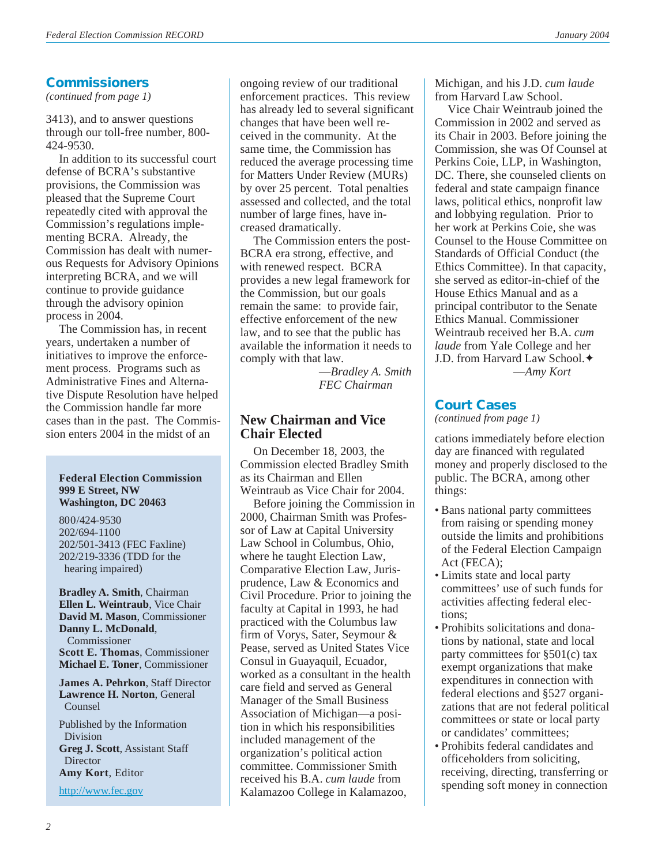## **Commissioners**

*(continued from page 1)*

3413), and to answer questions through our toll-free number, 800- 424-9530.

In addition to its successful court defense of BCRA's substantive provisions, the Commission was pleased that the Supreme Court repeatedly cited with approval the Commission's regulations implementing BCRA. Already, the Commission has dealt with numerous Requests for Advisory Opinions interpreting BCRA, and we will continue to provide guidance through the advisory opinion process in 2004.

The Commission has, in recent years, undertaken a number of initiatives to improve the enforcement process. Programs such as Administrative Fines and Alternative Dispute Resolution have helped the Commission handle far more cases than in the past. The Commission enters 2004 in the midst of an

#### **Federal Election Commission 999 E Street, NW Washington, DC 20463**

800/424-9530 202/694-1100 202/501-3413 (FEC Faxline) 202/219-3336 (TDD for the hearing impaired)

**Bradley A. Smith**, Chairman **Ellen L. Weintraub**, Vice Chair **David M. Mason**, Commissioner **Danny L. McDonald**, Commissioner **Scott E. Thomas**, Commissioner **Michael E. Toner**, Commissioner

**James A. Pehrkon**, Staff Director **Lawrence H. Norton**, General Counsel

Published by the Information Division **Greg J. Scott**, Assistant Staff **Director Amy Kort**, Editor

<http://www.fec.gov>

ongoing review of our traditional enforcement practices. This review has already led to several significant changes that have been well received in the community. At the same time, the Commission has reduced the average processing time for Matters Under Review (MURs) by over 25 percent. Total penalties assessed and collected, and the total number of large fines, have increased dramatically.

The Commission enters the post-BCRA era strong, effective, and with renewed respect. BCRA provides a new legal framework for the Commission, but our goals remain the same: to provide fair, effective enforcement of the new law, and to see that the public has available the information it needs to comply with that law.

—*Bradley A. Smith FEC Chairman*

# **New Chairman and Vice Chair Elected**

On December 18, 2003, the Commission elected Bradley Smith as its Chairman and Ellen Weintraub as Vice Chair for 2004.

Before joining the Commission in 2000, Chairman Smith was Professor of Law at Capital University Law School in Columbus, Ohio, where he taught Election Law, Comparative Election Law, Jurisprudence, Law & Economics and Civil Procedure. Prior to joining the faculty at Capital in 1993, he had practiced with the Columbus law firm of Vorys, Sater, Seymour & Pease, served as United States Vice Consul in Guayaquil, Ecuador, worked as a consultant in the health care field and served as General Manager of the Small Business Association of Michigan—a position in which his responsibilities included management of the organization's political action committee. Commissioner Smith received his B.A. *cum laude* from Kalamazoo College in Kalamazoo,

Michigan, and his J.D. *cum laude* from Harvard Law School.

Vice Chair Weintraub joined the Commission in 2002 and served as its Chair in 2003. Before joining the Commission, she was Of Counsel at Perkins Coie, LLP, in Washington, DC. There, she counseled clients on federal and state campaign finance laws, political ethics, nonprofit law and lobbying regulation. Prior to her work at Perkins Coie, she was Counsel to the House Committee on Standards of Official Conduct (the Ethics Committee). In that capacity, she served as editor-in-chief of the House Ethics Manual and as a principal contributor to the Senate Ethics Manual. Commissioner Weintraub received her B.A. *cum laude* from Yale College and her J.D. from Harvard Law School.✦

—*Amy Kort*

# **Court Cases**

*(continued from page 1)*

cations immediately before election day are financed with regulated money and properly disclosed to the public. The BCRA, among other things:

- Bans national party committees from raising or spending money outside the limits and prohibitions of the Federal Election Campaign Act (FECA);
- Limits state and local party committees' use of such funds for activities affecting federal elections;
- Prohibits solicitations and donations by national, state and local party committees for §501(c) tax exempt organizations that make expenditures in connection with federal elections and §527 organizations that are not federal political committees or state or local party or candidates' committees;
- Prohibits federal candidates and officeholders from soliciting, receiving, directing, transferring or spending soft money in connection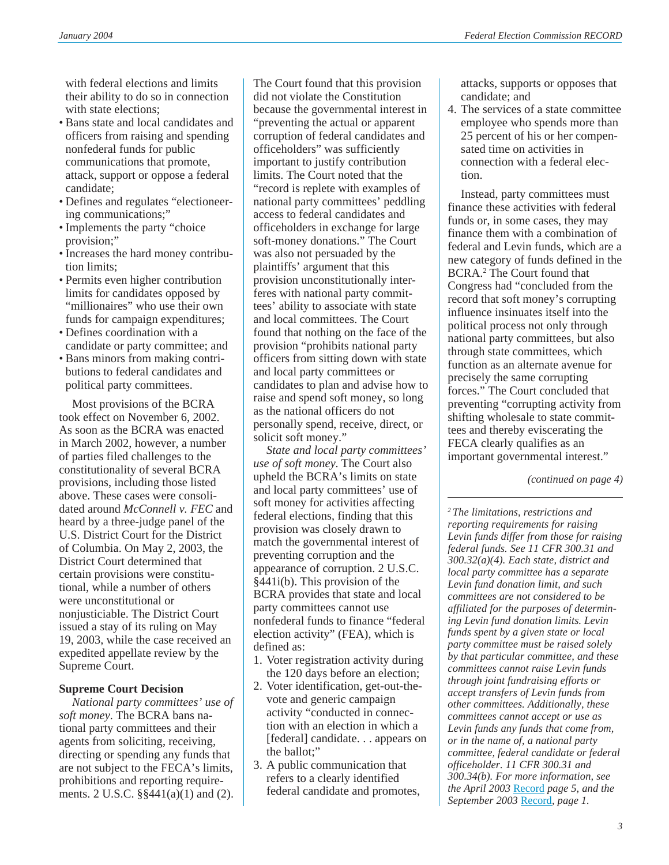with federal elections and limits their ability to do so in connection with state elections;

- Bans state and local candidates and officers from raising and spending nonfederal funds for public communications that promote, attack, support or oppose a federal candidate;
- Defines and regulates "electioneering communications;"
- Implements the party "choice provision;"
- Increases the hard money contribution limits;
- Permits even higher contribution limits for candidates opposed by "millionaires" who use their own funds for campaign expenditures;
- Defines coordination with a candidate or party committee; and
- Bans minors from making contributions to federal candidates and political party committees.

Most provisions of the BCRA took effect on November 6, 2002. As soon as the BCRA was enacted in March 2002, however, a number of parties filed challenges to the constitutionality of several BCRA provisions, including those listed above. These cases were consolidated around *McConnell v. FEC* and heard by a three-judge panel of the U.S. District Court for the District of Columbia. On May 2, 2003, the District Court determined that certain provisions were constitutional, while a number of others were unconstitutional or nonjusticiable. The District Court issued a stay of its ruling on May 19, 2003, while the case received an expedited appellate review by the Supreme Court.

### **Supreme Court Decision**

*National party committees' use of soft money*. The BCRA bans national party committees and their agents from soliciting, receiving, directing or spending any funds that are not subject to the FECA's limits, prohibitions and reporting requirements. 2 U.S.C. §§441(a)(1) and (2).

The Court found that this provision did not violate the Constitution because the governmental interest in "preventing the actual or apparent corruption of federal candidates and officeholders" was sufficiently important to justify contribution limits. The Court noted that the "record is replete with examples of national party committees' peddling access to federal candidates and officeholders in exchange for large soft-money donations." The Court was also not persuaded by the plaintiffs' argument that this provision unconstitutionally interferes with national party committees' ability to associate with state and local committees. The Court found that nothing on the face of the provision "prohibits national party officers from sitting down with state and local party committees or candidates to plan and advise how to raise and spend soft money, so long as the national officers do not personally spend, receive, direct, or solicit soft money."

*State and local party committees' use of soft money*. The Court also upheld the BCRA's limits on state and local party committees' use of soft money for activities affecting federal elections, finding that this provision was closely drawn to match the governmental interest of preventing corruption and the appearance of corruption. 2 U.S.C. §441i(b). This provision of the BCRA provides that state and local party committees cannot use nonfederal funds to finance "federal election activity" (FEA), which is defined as:

- 1. Voter registration activity during the 120 days before an election;
- 2. Voter identification, get-out-thevote and generic campaign activity "conducted in connection with an election in which a [federal] candidate. . . appears on the ballot;"
- 3. A public communication that refers to a clearly identified federal candidate and promotes,

attacks, supports or opposes that candidate; and

4. The services of a state committee employee who spends more than 25 percent of his or her compensated time on activities in connection with a federal election.

Instead, party committees must finance these activities with federal funds or, in some cases, they may finance them with a combination of federal and Levin funds, which are a new category of funds defined in the BCRA.2 The Court found that Congress had "concluded from the record that soft money's corrupting influence insinuates itself into the political process not only through national party committees, but also through state committees, which function as an alternate avenue for precisely the same corrupting forces." The Court concluded that preventing "corrupting activity from shifting wholesale to state committees and thereby eviscerating the FECA clearly qualifies as an important governmental interest."

*(continued on page 4)*

*2 The limitations, restrictions and reporting requirements for raising Levin funds differ from those for raising federal funds. See 11 CFR 300.31 and 300.32(a)(4). Each state, district and local party committee has a separate Levin fund donation limit, and such committees are not considered to be affiliated for the purposes of determining Levin fund donation limits. Levin funds spent by a given state or local party committee must be raised solely by that particular committee, and these committees cannot raise Levin funds through joint fundraising efforts or accept transfers of Levin funds from other committees. Additionally, these committees cannot accept or use as Levin funds any funds that come from, or in the name of, a national party committee, federal candidate or federal officeholder. 11 CFR 300.31 and 300.34(b). For more information, see the April 2003* [Record](http://www.fec.gov/pdf/record/2003/apr03.pdf) *page 5, and the September 2003* [Record](http://www.fec.gov/pdf/record/2003/sep03.pdf)*, page 1.*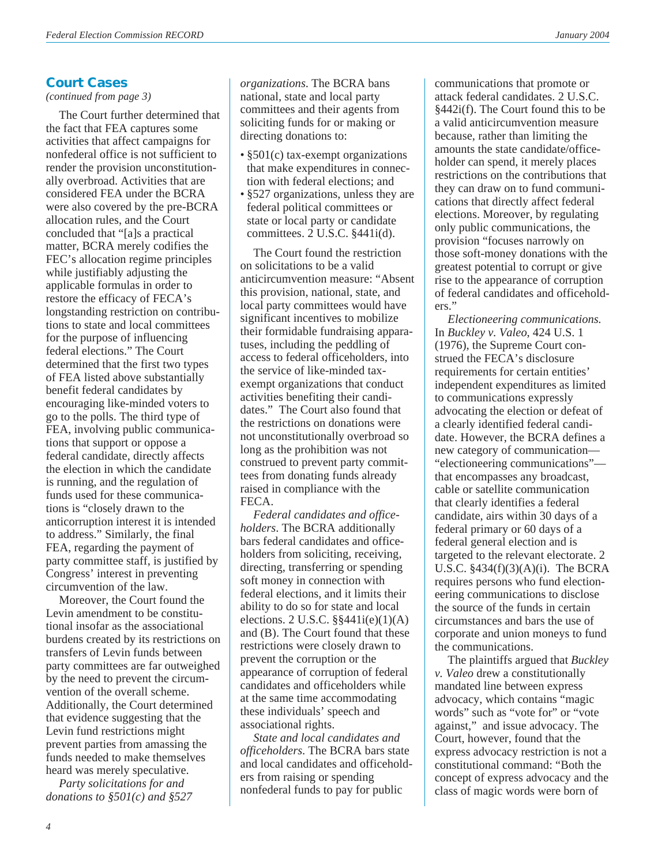# **Court Cases**

*(continued from page 3)*

The Court further determined that the fact that FEA captures some activities that affect campaigns for nonfederal office is not sufficient to render the provision unconstitutionally overbroad. Activities that are considered FEA under the BCRA were also covered by the pre-BCRA allocation rules, and the Court concluded that "[a]s a practical matter, BCRA merely codifies the FEC's allocation regime principles while justifiably adjusting the applicable formulas in order to restore the efficacy of FECA's longstanding restriction on contributions to state and local committees for the purpose of influencing federal elections." The Court determined that the first two types of FEA listed above substantially benefit federal candidates by encouraging like-minded voters to go to the polls. The third type of FEA, involving public communications that support or oppose a federal candidate, directly affects the election in which the candidate is running, and the regulation of funds used for these communications is "closely drawn to the anticorruption interest it is intended to address." Similarly, the final FEA, regarding the payment of party committee staff, is justified by Congress' interest in preventing circumvention of the law.

Moreover, the Court found the Levin amendment to be constitutional insofar as the associational burdens created by its restrictions on transfers of Levin funds between party committees are far outweighed by the need to prevent the circumvention of the overall scheme. Additionally, the Court determined that evidence suggesting that the Levin fund restrictions might prevent parties from amassing the funds needed to make themselves heard was merely speculative.

*Party solicitations for and donations to §501(c) and §527*

*organizations*. The BCRA bans national, state and local party committees and their agents from soliciting funds for or making or directing donations to:

- §501(c) tax-exempt organizations that make expenditures in connection with federal elections; and
- §527 organizations, unless they are federal political committees or state or local party or candidate committees. 2 U.S.C. §441i(d).

The Court found the restriction on solicitations to be a valid anticircumvention measure: "Absent this provision, national, state, and local party committees would have significant incentives to mobilize their formidable fundraising apparatuses, including the peddling of access to federal officeholders, into the service of like-minded taxexempt organizations that conduct activities benefiting their candidates." The Court also found that the restrictions on donations were not unconstitutionally overbroad so long as the prohibition was not construed to prevent party committees from donating funds already raised in compliance with the FECA.

*Federal candidates and officeholders*. The BCRA additionally bars federal candidates and officeholders from soliciting, receiving, directing, transferring or spending soft money in connection with federal elections, and it limits their ability to do so for state and local elections.  $2$  U.S.C.  $\S$ §441i(e)(1)(A) and (B). The Court found that these restrictions were closely drawn to prevent the corruption or the appearance of corruption of federal candidates and officeholders while at the same time accommodating these individuals' speech and associational rights.

*State and local candidates and officeholders*. The BCRA bars state and local candidates and officeholders from raising or spending nonfederal funds to pay for public

communications that promote or attack federal candidates. 2 U.S.C. §442i(f). The Court found this to be a valid anticircumvention measure because, rather than limiting the amounts the state candidate/officeholder can spend, it merely places restrictions on the contributions that they can draw on to fund communications that directly affect federal elections. Moreover, by regulating only public communications, the provision "focuses narrowly on those soft-money donations with the greatest potential to corrupt or give rise to the appearance of corruption of federal candidates and officeholders."

*Electioneering communications*. In *Buckley v. Valeo*, 424 U.S. 1 (1976), the Supreme Court construed the FECA's disclosure requirements for certain entities' independent expenditures as limited to communications expressly advocating the election or defeat of a clearly identified federal candidate. However, the BCRA defines a new category of communication— "electioneering communications" that encompasses any broadcast, cable or satellite communication that clearly identifies a federal candidate, airs within 30 days of a federal primary or 60 days of a federal general election and is targeted to the relevant electorate. 2 U.S.C. §434(f)(3)(A)(i). The BCRA requires persons who fund electioneering communications to disclose the source of the funds in certain circumstances and bars the use of corporate and union moneys to fund the communications.

The plaintiffs argued that *Buckley v. Valeo* drew a constitutionally mandated line between express advocacy, which contains "magic words" such as "vote for" or "vote against," and issue advocacy. The Court, however, found that the express advocacy restriction is not a constitutional command: "Both the concept of express advocacy and the class of magic words were born of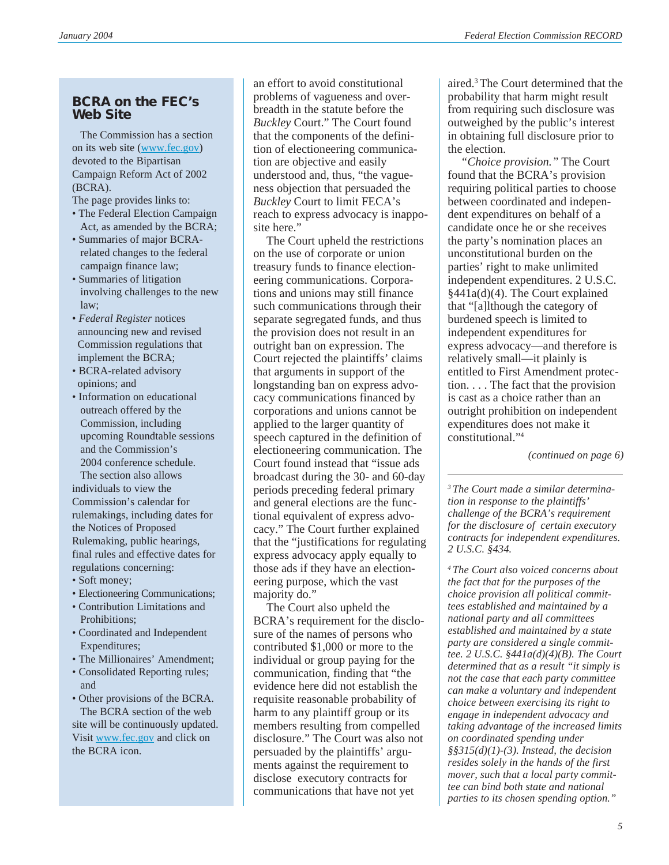### **BCRA on the FEC's Web Site**

 The Commission has a section on its web site [\(www.fec.gov\)](http://www.fec.gov) devoted to the Bipartisan Campaign Reform Act of 2002 (BCRA).

The page provides links to:

- The Federal Election Campaign Act, as amended by the BCRA;
- Summaries of major BCRA related changes to the federal campaign finance law;
- Summaries of litigation involving challenges to the new law;
- *Federal Register* notices announcing new and revised Commission regulations that implement the BCRA;
- BCRA-related advisory opinions; and
- Information on educational outreach offered by the Commission, including upcoming Roundtable sessions and the Commission's 2004 conference schedule.

 The section also allows individuals to view the Commission's calendar for rulemakings, including dates for the Notices of Proposed Rulemaking, public hearings, final rules and effective dates for regulations concerning:

- Soft money;
- Electioneering Communications;
- Contribution Limitations and Prohibitions;
- Coordinated and Independent Expenditures;
- The Millionaires' Amendment;
- Consolidated Reporting rules; and
- Other provisions of the BCRA. The BCRA section of the web site will be continuously updated. Visit [www.fec.gov](http://www.fec.gov) and click on the BCRA icon.

an effort to avoid constitutional problems of vagueness and overbreadth in the statute before the *Buckley* Court." The Court found that the components of the definition of electioneering communication are objective and easily understood and, thus, "the vagueness objection that persuaded the *Buckley* Court to limit FECA's reach to express advocacy is inapposite here."

The Court upheld the restrictions on the use of corporate or union treasury funds to finance electioneering communications. Corporations and unions may still finance such communications through their separate segregated funds, and thus the provision does not result in an outright ban on expression. The Court rejected the plaintiffs' claims that arguments in support of the longstanding ban on express advocacy communications financed by corporations and unions cannot be applied to the larger quantity of speech captured in the definition of electioneering communication. The Court found instead that "issue ads broadcast during the 30- and 60-day periods preceding federal primary and general elections are the functional equivalent of express advocacy." The Court further explained that the "justifications for regulating express advocacy apply equally to those ads if they have an electioneering purpose, which the vast majority do."

The Court also upheld the BCRA's requirement for the disclosure of the names of persons who contributed \$1,000 or more to the individual or group paying for the communication, finding that "the evidence here did not establish the requisite reasonable probability of harm to any plaintiff group or its members resulting from compelled disclosure." The Court was also not persuaded by the plaintiffs' arguments against the requirement to disclose executory contracts for communications that have not yet

aired.3 The Court determined that the probability that harm might result from requiring such disclosure was outweighed by the public's interest in obtaining full disclosure prior to the election.

*"Choice provision."* The Court found that the BCRA's provision requiring political parties to choose between coordinated and independent expenditures on behalf of a candidate once he or she receives the party's nomination places an unconstitutional burden on the parties' right to make unlimited independent expenditures. 2 U.S.C. §441a(d)(4). The Court explained that "[a]lthough the category of burdened speech is limited to independent expenditures for express advocacy—and therefore is relatively small—it plainly is entitled to First Amendment protection. . . . The fact that the provision is cast as a choice rather than an outright prohibition on independent expenditures does not make it constitutional."4

*(continued on page 6)*

*3 The Court made a similar determination in response to the plaintiffs' challenge of the BCRA's requirement for the disclosure of certain executory contracts for independent expenditures. 2 U.S.C. §434.*

*4 The Court also voiced concerns about the fact that for the purposes of the choice provision all political committees established and maintained by a national party and all committees established and maintained by a state party are considered a single committee. 2 U.S.C. §441a(d)(4)(B). The Court determined that as a result "it simply is not the case that each party committee can make a voluntary and independent choice between exercising its right to engage in independent advocacy and taking advantage of the increased limits on coordinated spending under §§315(d)(1)-(3). Instead, the decision resides solely in the hands of the first mover, such that a local party committee can bind both state and national parties to its chosen spending option."*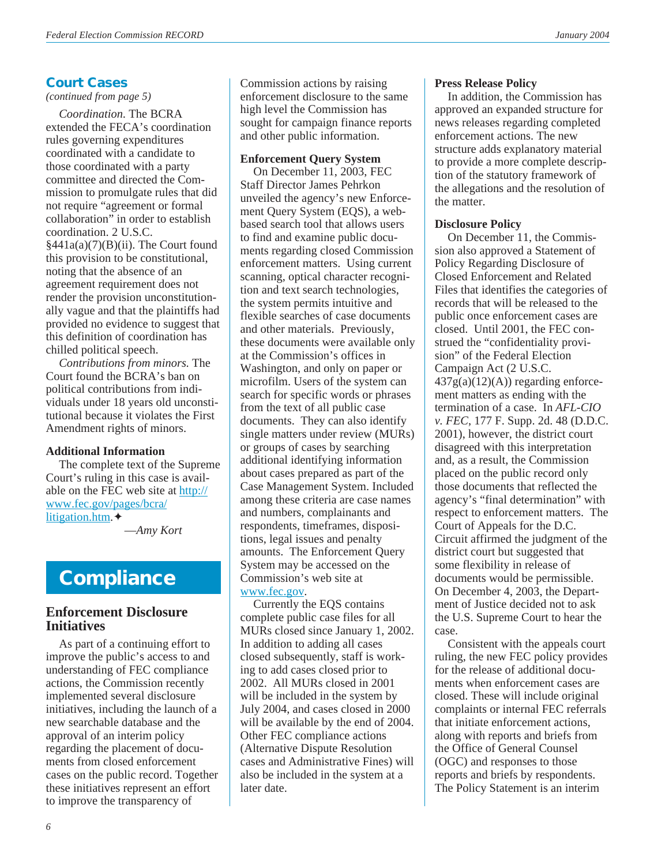# **Court Cases**

*(continued from page 5)*

*Coordination.* The BCRA extended the FECA's coordination rules governing expenditures coordinated with a candidate to those coordinated with a party committee and directed the Commission to promulgate rules that did not require "agreement or formal collaboration" in order to establish coordination. 2 U.S.C.  $§441a(a)(7)(B)(ii)$ . The Court found this provision to be constitutional, noting that the absence of an agreement requirement does not render the provision unconstitutionally vague and that the plaintiffs had provided no evidence to suggest that this definition of coordination has chilled political speech.

*Contributions from minors*. The Court found the BCRA's ban on political contributions from individuals under 18 years old unconstitutional because it violates the First Amendment rights of minors.

### **Additional Information**

The complete text of the Supreme Court's ruling in this case is available on the FEC web site at [http://](http://www.fec.gov/pages/bcra/litigation.htm) [www.fec.gov/pages/bcra/](http://www.fec.gov/pages/bcra/litigation.htm) [litigation.htm.](http://www.fec.gov/pages/bcra/litigation.htm)✦

—*Amy Kort*

# **Compliance**

### **Enforcement Disclosure Initiatives**

As part of a continuing effort to improve the public's access to and understanding of FEC compliance actions, the Commission recently implemented several disclosure initiatives, including the launch of a new searchable database and the approval of an interim policy regarding the placement of documents from closed enforcement cases on the public record. Together these initiatives represent an effort to improve the transparency of

Commission actions by raising enforcement disclosure to the same high level the Commission has sought for campaign finance reports and other public information.

## **Enforcement Query System**

On December 11, 2003, FEC Staff Director James Pehrkon unveiled the agency's new Enforcement Query System (EQS), a webbased search tool that allows users to find and examine public documents regarding closed Commission enforcement matters. Using current scanning, optical character recognition and text search technologies, the system permits intuitive and flexible searches of case documents and other materials. Previously, these documents were available only at the Commission's offices in Washington, and only on paper or microfilm. Users of the system can search for specific words or phrases from the text of all public case documents. They can also identify single matters under review (MURs) or groups of cases by searching additional identifying information about cases prepared as part of the Case Management System. Included among these criteria are case names and numbers, complainants and respondents, timeframes, dispositions, legal issues and penalty amounts. The Enforcement Query System may be accessed on the Commission's web site at [www.fec.gov](http://www.fec.gov).

Currently the EQS contains complete public case files for all MURs closed since January 1, 2002. In addition to adding all cases closed subsequently, staff is working to add cases closed prior to 2002. All MURs closed in 2001 will be included in the system by July 2004, and cases closed in 2000 will be available by the end of 2004. Other FEC compliance actions (Alternative Dispute Resolution cases and Administrative Fines) will also be included in the system at a later date.

### **Press Release Policy**

In addition, the Commission has approved an expanded structure for news releases regarding completed enforcement actions. The new structure adds explanatory material to provide a more complete description of the statutory framework of the allegations and the resolution of the matter.

### **Disclosure Policy**

On December 11, the Commission also approved a Statement of Policy Regarding Disclosure of Closed Enforcement and Related Files that identifies the categories of records that will be released to the public once enforcement cases are closed. Until 2001, the FEC construed the "confidentiality provision" of the Federal Election Campaign Act (2 U.S.C.  $437g(a)(12)(A)$  regarding enforcement matters as ending with the termination of a case. In *AFL-CIO v. FEC*, 177 F. Supp. 2d. 48 (D.D.C. 2001), however, the district court disagreed with this interpretation and, as a result, the Commission placed on the public record only those documents that reflected the agency's "final determination" with respect to enforcement matters. The Court of Appeals for the D.C. Circuit affirmed the judgment of the district court but suggested that some flexibility in release of documents would be permissible. On December 4, 2003, the Department of Justice decided not to ask the U.S. Supreme Court to hear the case.

Consistent with the appeals court ruling, the new FEC policy provides for the release of additional documents when enforcement cases are closed. These will include original complaints or internal FEC referrals that initiate enforcement actions, along with reports and briefs from the Office of General Counsel (OGC) and responses to those reports and briefs by respondents. The Policy Statement is an interim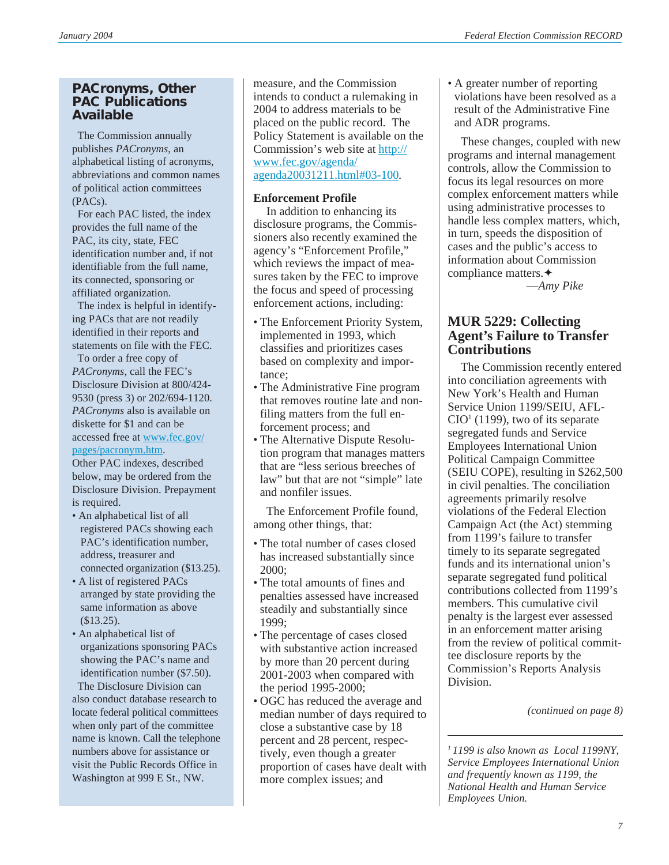### **PACronyms, Other PAC Publications Available**

The Commission annually publishes *PACronyms*, an alphabetical listing of acronyms, abbreviations and common names of political action committees (PACs).

 For each PAC listed, the index provides the full name of the PAC, its city, state, FEC identification number and, if not identifiable from the full name, its connected, sponsoring or affiliated organization.

 The index is helpful in identifying PACs that are not readily identified in their reports and statements on file with the FEC.

 To order a free copy of *PACronyms*, call the FEC's Disclosure Division at 800/424- 9530 (press 3) or 202/694-1120. *PACronyms* also is available on diskette for \$1 and can be accessed free at [www.fec.gov/](www.fec.gov/pages/pacronym.htm) [pages/pacronym.htm.](www.fec.gov/pages/pacronym.htm)

Other PAC indexes, described below, may be ordered from the Disclosure Division. Prepayment is required.

- An alphabetical list of all registered PACs showing each PAC's identification number, address, treasurer and connected organization (\$13.25).
- A list of registered PACs arranged by state providing the same information as above (\$13.25).
- An alphabetical list of organizations sponsoring PACs showing the PAC's name and identification number (\$7.50).

The Disclosure Division can also conduct database research to locate federal political committees when only part of the committee name is known. Call the telephone numbers above for assistance or visit the Public Records Office in Washington at 999 E St., NW.

measure, and the Commission intends to conduct a rulemaking in 2004 to address materials to be placed on the public record. The Policy Statement is available on the Commission's web site at [http://](http://www.fec.gov/agenda/agenda20031211.html#03-100) [www.fec.gov/agenda/](http://www.fec.gov/agenda/agenda20031211.html#03-100) [agenda20031211.html#03-100.](http://www.fec.gov/agenda/agenda20031211.html#03-100)

### **Enforcement Profile**

In addition to enhancing its disclosure programs, the Commissioners also recently examined the agency's "Enforcement Profile," which reviews the impact of measures taken by the FEC to improve the focus and speed of processing enforcement actions, including:

- The Enforcement Priority System, implemented in 1993, which classifies and prioritizes cases based on complexity and importance;
- The Administrative Fine program that removes routine late and nonfiling matters from the full enforcement process; and
- The Alternative Dispute Resolution program that manages matters that are "less serious breeches of law" but that are not "simple" late and nonfiler issues.

The Enforcement Profile found, among other things, that:

- The total number of cases closed has increased substantially since 2000;
- The total amounts of fines and penalties assessed have increased steadily and substantially since 1999;
- The percentage of cases closed with substantive action increased by more than 20 percent during 2001-2003 when compared with the period 1995-2000;
- OGC has reduced the average and median number of days required to close a substantive case by 18 percent and 28 percent, respectively, even though a greater proportion of cases have dealt with more complex issues; and

• A greater number of reporting violations have been resolved as a result of the Administrative Fine and ADR programs.

These changes, coupled with new programs and internal management controls, allow the Commission to focus its legal resources on more complex enforcement matters while using administrative processes to handle less complex matters, which, in turn, speeds the disposition of cases and the public's access to information about Commission compliance matters.✦

—*Amy Pike*

# **MUR 5229: Collecting Agent's Failure to Transfer Contributions**

The Commission recently entered into conciliation agreements with New York's Health and Human Service Union 1199/SEIU, AFL- $CIO<sup>1</sup>$  (1199), two of its separate segregated funds and Service Employees International Union Political Campaign Committee (SEIU COPE), resulting in \$262,500 in civil penalties. The conciliation agreements primarily resolve violations of the Federal Election Campaign Act (the Act) stemming from 1199's failure to transfer timely to its separate segregated funds and its international union's separate segregated fund political contributions collected from 1199's members. This cumulative civil penalty is the largest ever assessed in an enforcement matter arising from the review of political committee disclosure reports by the Commission's Reports Analysis Division.

*(continued on page 8)*

*<sup>1 1199</sup> is also known as Local 1199NY, Service Employees International Union and frequently known as 1199, the National Health and Human Service Employees Union.*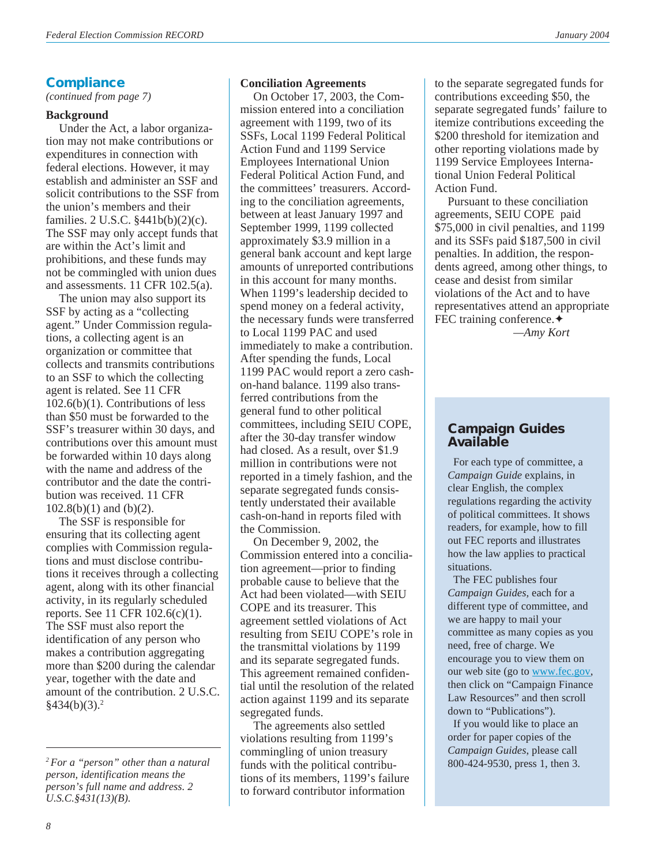### **Compliance**

*(continued from page 7)*

#### **Background**

Under the Act, a labor organization may not make contributions or expenditures in connection with federal elections. However, it may establish and administer an SSF and solicit contributions to the SSF from the union's members and their families. 2 U.S.C. §441b(b)(2)(c). The SSF may only accept funds that are within the Act's limit and prohibitions, and these funds may not be commingled with union dues and assessments. 11 CFR 102.5(a).

The union may also support its SSF by acting as a "collecting agent." Under Commission regulations, a collecting agent is an organization or committee that collects and transmits contributions to an SSF to which the collecting agent is related. See 11 CFR 102.6(b)(1). Contributions of less than \$50 must be forwarded to the SSF's treasurer within 30 days, and contributions over this amount must be forwarded within 10 days along with the name and address of the contributor and the date the contribution was received. 11 CFR 102.8(b)(1) and (b)(2).

The SSF is responsible for ensuring that its collecting agent complies with Commission regulations and must disclose contributions it receives through a collecting agent, along with its other financial activity, in its regularly scheduled reports. See 11 CFR 102.6(c)(1). The SSF must also report the identification of any person who makes a contribution aggregating more than \$200 during the calendar year, together with the date and amount of the contribution. 2 U.S.C.  $§434(b)(3).<sup>2</sup>$ 

### **Conciliation Agreements**

On October 17, 2003, the Commission entered into a conciliation agreement with 1199, two of its SSFs, Local 1199 Federal Political Action Fund and 1199 Service Employees International Union Federal Political Action Fund, and the committees' treasurers. According to the conciliation agreements, between at least January 1997 and September 1999, 1199 collected approximately \$3.9 million in a general bank account and kept large amounts of unreported contributions in this account for many months. When 1199's leadership decided to spend money on a federal activity, the necessary funds were transferred to Local 1199 PAC and used immediately to make a contribution. After spending the funds, Local 1199 PAC would report a zero cashon-hand balance. 1199 also transferred contributions from the general fund to other political committees, including SEIU COPE, after the 30-day transfer window had closed. As a result, over \$1.9 million in contributions were not reported in a timely fashion, and the separate segregated funds consistently understated their available cash-on-hand in reports filed with the Commission.

On December 9, 2002, the Commission entered into a conciliation agreement—prior to finding probable cause to believe that the Act had been violated—with SEIU COPE and its treasurer. This agreement settled violations of Act resulting from SEIU COPE's role in the transmittal violations by 1199 and its separate segregated funds. This agreement remained confidential until the resolution of the related action against 1199 and its separate segregated funds.

The agreements also settled violations resulting from 1199's commingling of union treasury funds with the political contributions of its members, 1199's failure to forward contributor information

to the separate segregated funds for contributions exceeding \$50, the separate segregated funds' failure to itemize contributions exceeding the \$200 threshold for itemization and other reporting violations made by 1199 Service Employees International Union Federal Political Action Fund.

Pursuant to these conciliation agreements, SEIU COPE paid \$75,000 in civil penalties, and 1199 and its SSFs paid \$187,500 in civil penalties. In addition, the respondents agreed, among other things, to cease and desist from similar violations of the Act and to have representatives attend an appropriate FEC training conference.✦

*—Amy Kort*

### **Campaign Guides Available**

 For each type of committee, a *Campaign Guide* explains, in clear English, the complex regulations regarding the activity of political committees. It shows readers, for example, how to fill out FEC reports and illustrates how the law applies to practical situations.

 The FEC publishes four *Campaign Guides,* each for a different type of committee, and we are happy to mail your committee as many copies as you need, free of charge. We encourage you to view them on our web site (go to [www.fec.gov,](http://www.fec.gov) then click on "Campaign Finance Law Resources" and then scroll down to "Publications").

 If you would like to place an order for paper copies of the *Campaign Guides*, please call 800-424-9530, press 1, then 3.

*<sup>2</sup> For a "person" other than a natural person, identification means the person's full name and address. 2 U.S.C.§431(13)(B).*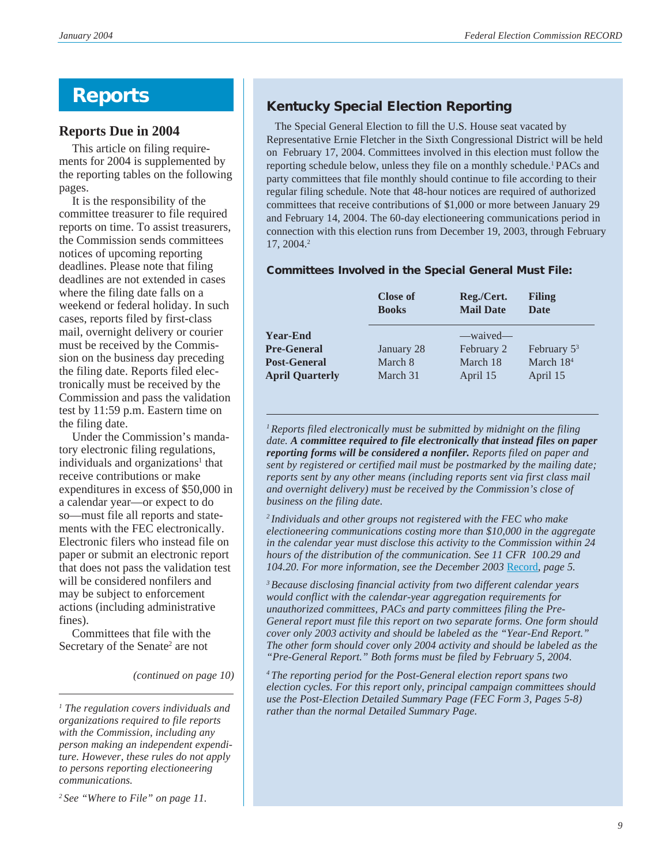# **Reports**

### **Reports Due in 2004**

This article on filing requirements for 2004 is supplemented by the reporting tables on the following pages.

It is the responsibility of the committee treasurer to file required reports on time. To assist treasurers, the Commission sends committees notices of upcoming reporting deadlines. Please note that filing deadlines are not extended in cases where the filing date falls on a weekend or federal holiday. In such cases, reports filed by first-class mail, overnight delivery or courier must be received by the Commission on the business day preceding the filing date. Reports filed electronically must be received by the Commission and pass the validation test by 11:59 p.m. Eastern time on the filing date.

Under the Commission's mandatory electronic filing regulations, individuals and organizations<sup>1</sup> that receive contributions or make expenditures in excess of \$50,000 in a calendar year—or expect to do so—must file all reports and statements with the FEC electronically. Electronic filers who instead file on paper or submit an electronic report that does not pass the validation test will be considered nonfilers and may be subject to enforcement actions (including administrative fines).

Committees that file with the Secretary of the Senate<sup>2</sup> are not

*(continued on page 10)*

# **Kentucky Special Election Reporting**

 The Special General Election to fill the U.S. House seat vacated by Representative Ernie Fletcher in the Sixth Congressional District will be held on February 17, 2004. Committees involved in this election must follow the reporting schedule below, unless they file on a monthly schedule.<sup>1</sup> PACs and party committees that file monthly should continue to file according to their regular filing schedule. Note that 48-hour notices are required of authorized committees that receive contributions of \$1,000 or more between January 29 and February 14, 2004. The 60-day electioneering communications period in connection with this election runs from December 19, 2003, through February 17, 2004.2

### **Committees Involved in the Special General Must File:**

|                        | <b>Close of</b><br><b>Books</b> | Reg./Cert.<br><b>Mail Date</b> | <b>Filing</b><br><b>Date</b> |
|------------------------|---------------------------------|--------------------------------|------------------------------|
| <b>Year-End</b>        |                                 | —waived—                       |                              |
| <b>Pre-General</b>     | January 28                      | February 2                     | February $5^3$               |
| <b>Post-General</b>    | March 8                         | March 18                       | March $184$                  |
| <b>April Quarterly</b> | March 31                        | April 15                       | April 15                     |

*1Reports filed electronically must be submitted by midnight on the filing date. A committee required to file electronically that instead files on paper reporting forms will be considered a nonfiler. Reports filed on paper and sent by registered or certified mail must be postmarked by the mailing date; reports sent by any other means (including reports sent via first class mail and overnight delivery) must be received by the Commission's close of business on the filing date.*

*2 Individuals and other groups not registered with the FEC who make electioneering communications costing more than \$10,000 in the aggregate in the calendar year must disclose this activity to the Commission within 24 hours of the distribution of the communication. See 11 CFR 100.29 and 104.20. For more information, see the December 2003* [Record](http://www.fec.gov/pdf/record/2003/dec03.pdf)*, page 5.*

*3 Because disclosing financial activity from two different calendar years would conflict with the calendar-year aggregation requirements for unauthorized committees, PACs and party committees filing the Pre-General report must file this report on two separate forms. One form should cover only 2003 activity and should be labeled as the "Year-End Report." The other form should cover only 2004 activity and should be labeled as the "Pre-General Report." Both forms must be filed by February 5, 2004.*

*4 The reporting period for the Post-General election report spans two election cycles. For this report only, principal campaign committees should use the Post-Election Detailed Summary Page (FEC Form 3, Pages 5-8) rather than the normal Detailed Summary Page.*

*<sup>1</sup> The regulation covers individuals and organizations required to file reports with the Commission, including any person making an independent expenditure. However, these rules do not apply to persons reporting electioneering communications.*

*<sup>2</sup> See "Where to File" on page 11.*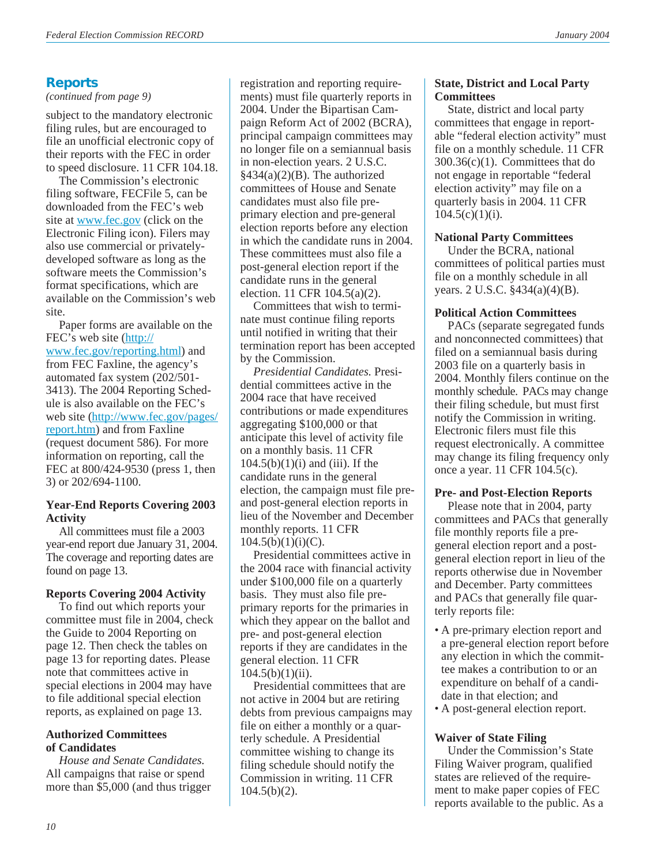# **Reports**

### *(continued from page 9)*

subject to the mandatory electronic filing rules, but are encouraged to file an unofficial electronic copy of their reports with the FEC in order to speed disclosure. 11 CFR 104.18.

The Commission's electronic filing software, FECFile 5, can be downloaded from the FEC's web site at [www.fec.gov](http://www.fec.gov) (click on the Electronic Filing icon). Filers may also use commercial or privatelydeveloped software as long as the software meets the Commission's format specifications, which are available on the Commission's web site.

Paper forms are available on the FEC's web site ([http://](http://www.fec.gov/reporting.html) [www.fec.gov/reporting.html\)](http://www.fec.gov/reporting.html) and from FEC Faxline, the agency's automated fax system (202/501- 3413). The 2004 Reporting Schedule is also available on the FEC's web site [\(http://www.fec.gov/pages/](http://www.fec.gov/pages/report.htm) [report.htm\)](http://www.fec.gov/pages/report.htm) and from Faxline (request document 586). For more information on reporting, call the FEC at 800/424-9530 (press 1, then 3) or 202/694-1100.

### **Year-End Reports Covering 2003 Activity**

All committees must file a 2003 year-end report due January 31, 2004. The coverage and reporting dates are found on page 13.

### **Reports Covering 2004 Activity**

To find out which reports your committee must file in 2004, check the Guide to 2004 Reporting on page 12. Then check the tables on page 13 for reporting dates. Please note that committees active in special elections in 2004 may have to file additional special election reports, as explained on page 13.

### **Authorized Committees of Candidates**

*House and Senate Candidates.* All campaigns that raise or spend more than \$5,000 (and thus trigger

registration and reporting requirements) must file quarterly reports in 2004. Under the Bipartisan Campaign Reform Act of 2002 (BCRA), principal campaign committees may no longer file on a semiannual basis in non-election years. 2 U.S.C.  $§434(a)(2)(B)$ . The authorized committees of House and Senate candidates must also file preprimary election and pre-general election reports before any election in which the candidate runs in 2004. These committees must also file a post-general election report if the candidate runs in the general election. 11 CFR 104.5(a)(2).

Committees that wish to terminate must continue filing reports until notified in writing that their termination report has been accepted by the Commission.

*Presidential Candidates.* Presidential committees active in the 2004 race that have received contributions or made expenditures aggregating \$100,000 or that anticipate this level of activity file on a monthly basis. 11 CFR  $104.5(b)(1)(i)$  and (iii). If the candidate runs in the general election, the campaign must file preand post-general election reports in lieu of the November and December monthly reports. 11 CFR  $104.5(b)(1)(i)(C)$ .

Presidential committees active in the 2004 race with financial activity under \$100,000 file on a quarterly basis. They must also file preprimary reports for the primaries in which they appear on the ballot and pre- and post-general election reports if they are candidates in the general election. 11 CFR  $104.5(b)(1)(ii)$ .

Presidential committees that are not active in 2004 but are retiring debts from previous campaigns may file on either a monthly or a quarterly schedule. A Presidential committee wishing to change its filing schedule should notify the Commission in writing. 11 CFR  $104.5(b)(2)$ .

### **State, District and Local Party Committees**

State, district and local party committees that engage in reportable "federal election activity" must file on a monthly schedule. 11 CFR 300.36(c)(1). Committees that do not engage in reportable "federal election activity" may file on a quarterly basis in 2004. 11 CFR  $104.5(c)(1)(i)$ .

### **National Party Committees**

Under the BCRA, national committees of political parties must file on a monthly schedule in all years. 2 U.S.C. §434(a)(4)(B).

### **Political Action Committees**

PACs (separate segregated funds and nonconnected committees) that filed on a semiannual basis during 2003 file on a quarterly basis in 2004. Monthly filers continue on the monthly schedule. PACs may change their filing schedule, but must first notify the Commission in writing. Electronic filers must file this request electronically. A committee may change its filing frequency only once a year. 11 CFR 104.5(c).

### **Pre- and Post-Election Reports**

Please note that in 2004, party committees and PACs that generally file monthly reports file a pregeneral election report and a postgeneral election report in lieu of the reports otherwise due in November and December. Party committees and PACs that generally file quarterly reports file:

- A pre-primary election report and a pre-general election report before any election in which the committee makes a contribution to or an expenditure on behalf of a candidate in that election; and
- A post-general election report.

### **Waiver of State Filing**

Under the Commission's State Filing Waiver program, qualified states are relieved of the requirement to make paper copies of FEC reports available to the public. As a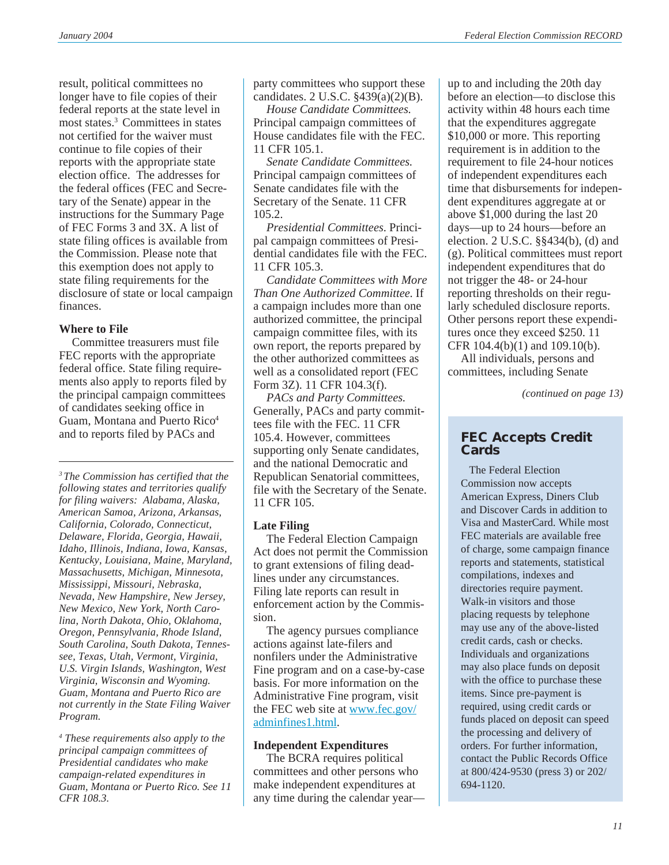result, political committees no longer have to file copies of their federal reports at the state level in most states.3 Committees in states not certified for the waiver must continue to file copies of their reports with the appropriate state election office. The addresses for the federal offices (FEC and Secretary of the Senate) appear in the instructions for the Summary Page of FEC Forms 3 and 3X. A list of state filing offices is available from the Commission. Please note that this exemption does not apply to state filing requirements for the disclosure of state or local campaign finances.

#### **Where to File**

Committee treasurers must file FEC reports with the appropriate federal office. State filing requirements also apply to reports filed by the principal campaign committees of candidates seeking office in Guam, Montana and Puerto Rico<sup>4</sup> and to reports filed by PACs and

*3 The Commission has certified that the following states and territories qualify for filing waivers: Alabama, Alaska, American Samoa, Arizona, Arkansas, California, Colorado, Connecticut, Delaware, Florida, Georgia, Hawaii, Idaho, Illinois, Indiana, Iowa, Kansas, Kentucky, Louisiana, Maine, Maryland, Massachusetts, Michigan, Minnesota, Mississippi, Missouri, Nebraska, Nevada, New Hampshire, New Jersey, New Mexico, New York, North Carolina, North Dakota, Ohio, Oklahoma, Oregon, Pennsylvania, Rhode Island, South Carolina, South Dakota, Tennessee, Texas, Utah, Vermont, Virginia, U.S. Virgin Islands, Washington, West Virginia, Wisconsin and Wyoming. Guam, Montana and Puerto Rico are not currently in the State Filing Waiver Program.*

*<sup>4</sup> These requirements also apply to the principal campaign committees of Presidential candidates who make campaign-related expenditures in Guam, Montana or Puerto Rico. See 11 CFR 108.3.*

party committees who support these candidates. 2 U.S.C. §439(a)(2)(B).

*House Candidate Committees*. Principal campaign committees of House candidates file with the FEC. 11 CFR 105.1.

*Senate Candidate Committees*. Principal campaign committees of Senate candidates file with the Secretary of the Senate. 11 CFR 105.2.

*Presidential Committees*. Principal campaign committees of Presidential candidates file with the FEC. 11 CFR 105.3.

*Candidate Committees with More Than One Authorized Committee*. If a campaign includes more than one authorized committee, the principal campaign committee files, with its own report, the reports prepared by the other authorized committees as well as a consolidated report (FEC Form 3Z). 11 CFR 104.3(f).

*PACs and Party Committees*. Generally, PACs and party committees file with the FEC. 11 CFR 105.4. However, committees supporting only Senate candidates, and the national Democratic and Republican Senatorial committees, file with the Secretary of the Senate. 11 CFR 105.

### **Late Filing**

The Federal Election Campaign Act does not permit the Commission to grant extensions of filing deadlines under any circumstances. Filing late reports can result in enforcement action by the Commission.

The agency pursues compliance actions against late-filers and nonfilers under the Administrative Fine program and on a case-by-case basis. For more information on the Administrative Fine program, visit the FEC web site at [www.fec.gov/](www.fec.gov/adminfines1.html) [adminfines1.html](www.fec.gov/adminfines1.html).

### **Independent Expenditures**

The BCRA requires political committees and other persons who make independent expenditures at any time during the calendar year—

up to and including the 20th day before an election—to disclose this activity within 48 hours each time that the expenditures aggregate \$10,000 or more. This reporting requirement is in addition to the requirement to file 24-hour notices of independent expenditures each time that disbursements for independent expenditures aggregate at or above \$1,000 during the last 20 days—up to 24 hours—before an election. 2 U.S.C. §§434(b), (d) and (g). Political committees must report independent expenditures that do not trigger the 48- or 24-hour reporting thresholds on their regularly scheduled disclosure reports. Other persons report these expenditures once they exceed \$250. 11 CFR 104.4(b)(1) and 109.10(b).

All individuals, persons and committees, including Senate

*(continued on page 13)*

## **FEC Accepts Credit Cards**

 The Federal Election Commission now accepts American Express, Diners Club and Discover Cards in addition to Visa and MasterCard. While most FEC materials are available free of charge, some campaign finance reports and statements, statistical compilations, indexes and directories require payment. Walk-in visitors and those placing requests by telephone may use any of the above-listed credit cards, cash or checks. Individuals and organizations may also place funds on deposit with the office to purchase these items. Since pre-payment is required, using credit cards or funds placed on deposit can speed the processing and delivery of orders. For further information, contact the Public Records Office at 800/424-9530 (press 3) or 202/ 694-1120.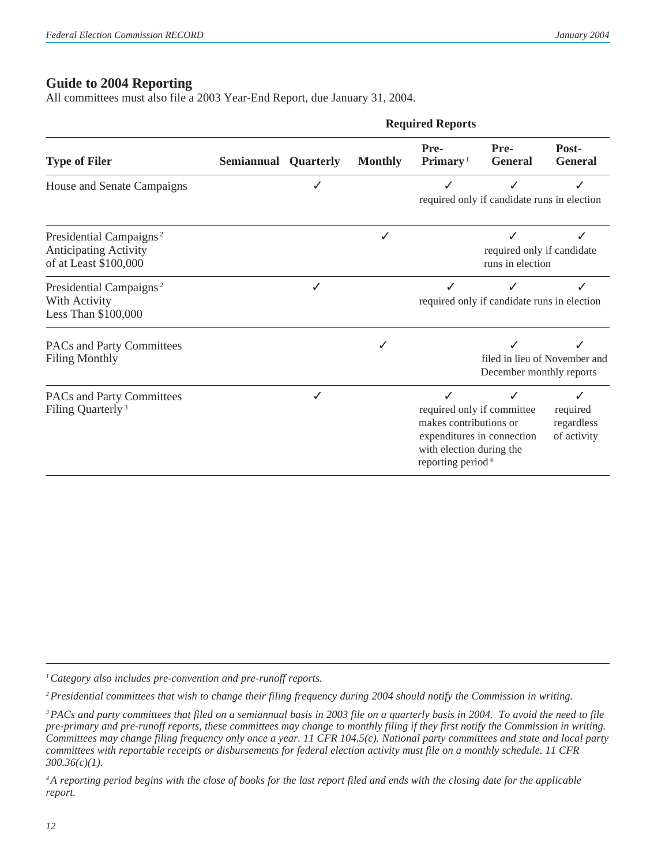# **Guide to 2004 Reporting**

All committees must also file a 2003 Year-End Report, due January 31, 2004.

|                                                                                              |                             |   |                | <b>Required Reports</b>                                                                  |                                                          |                                            |
|----------------------------------------------------------------------------------------------|-----------------------------|---|----------------|------------------------------------------------------------------------------------------|----------------------------------------------------------|--------------------------------------------|
| <b>Type of Filer</b>                                                                         | <b>Semiannual Quarterly</b> |   | <b>Monthly</b> | Pre-<br>Primary <sup>1</sup>                                                             | Pre-<br><b>General</b>                                   | Post-<br><b>General</b>                    |
| House and Senate Campaigns                                                                   |                             |   |                |                                                                                          | required only if candidate runs in election              |                                            |
| Presidential Campaigns <sup>2</sup><br><b>Anticipating Activity</b><br>of at Least \$100,000 |                             |   |                |                                                                                          | required only if candidate<br>runs in election           |                                            |
| Presidential Campaigns <sup>2</sup><br>With Activity<br>Less Than \$100,000                  |                             |   |                |                                                                                          | required only if candidate runs in election              |                                            |
| PACs and Party Committees<br><b>Filing Monthly</b>                                           |                             |   |                |                                                                                          | December monthly reports                                 | filed in lieu of November and              |
| PACs and Party Committees<br>Filing Quarterly <sup>3</sup>                                   |                             | J |                | J<br>makes contributions or<br>with election during the<br>reporting period <sup>4</sup> | required only if committee<br>expenditures in connection | ✓<br>required<br>regardless<br>of activity |

*1Category also includes pre-convention and pre-runoff reports.*

*2Presidential committees that wish to change their filing frequency during 2004 should notify the Commission in writing.*

*3PACs and party committees that filed on a semiannual basis in 2003 file on a quarterly basis in 2004. To avoid the need to file pre-primary and pre-runoff reports, these committees may change to monthly filing if they first notify the Commission in writing. Committees may change filing frequency only once a year. 11 CFR 104.5(c). National party committees and state and local party committees with reportable receipts or disbursements for federal election activity must file on a monthly schedule. 11 CFR 300.36(c)(1).*

*4A reporting period begins with the close of books for the last report filed and ends with the closing date for the applicable report.*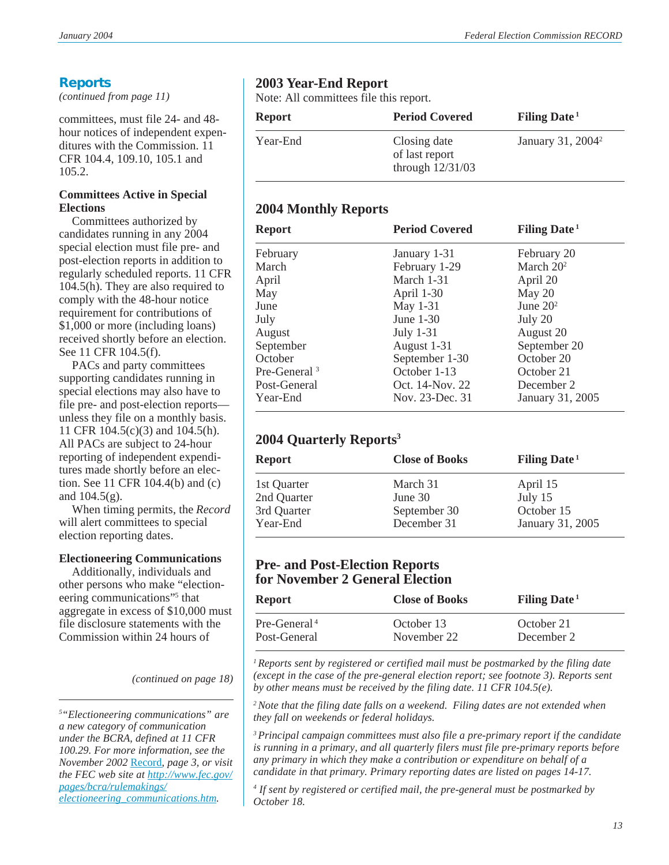# **Reports**

*(continued from page 11)*

committees, must file 24- and 48 hour notices of independent expenditures with the Commission. 11 CFR 104.4, 109.10, 105.1 and 105.2.

### **Committees Active in Special Elections**

Committees authorized by candidates running in any 2004 special election must file pre- and post-election reports in addition to regularly scheduled reports. 11 CFR 104.5(h). They are also required to comply with the 48-hour notice requirement for contributions of \$1,000 or more (including loans) received shortly before an election. See 11 CFR 104.5(f).

PACs and party committees supporting candidates running in special elections may also have to file pre- and post-election reports unless they file on a monthly basis. 11 CFR 104.5(c)(3) and 104.5(h). All PACs are subject to 24-hour reporting of independent expenditures made shortly before an election. See 11 CFR 104.4(b) and (c) and  $104.5(g)$ .

When timing permits, the *Record* will alert committees to special election reporting dates.

### **Electioneering Communications**

Additionally, individuals and other persons who make "electioneering communications"<sup>5</sup> that aggregate in excess of \$10,000 must file disclosure statements with the Commission within 24 hours of

*(continued on page 18)*

# **2003 Year-End Report**

Note: All committees file this report.

| Report   | <b>Period Covered</b>                                | Filing Date <sup>1</sup>      |
|----------|------------------------------------------------------|-------------------------------|
| Year-End | Closing date<br>of last report<br>through $12/31/03$ | January 31, 2004 <sup>2</sup> |

# **2004 Monthly Reports**

| <b>Report</b>            | <b>Period Covered</b> | <b>Filing Date</b> <sup>1</sup> |
|--------------------------|-----------------------|---------------------------------|
| February                 | January 1-31          | February 20                     |
| March                    | February 1-29         | March $202$                     |
| April                    | March 1-31            | April 20                        |
| May                      | April 1-30            | May 20                          |
| June                     | May 1-31              | June $202$                      |
| July                     | June $1-30$           | July 20                         |
| August                   | July $1-31$           | August 20                       |
| September                | August 1-31           | September 20                    |
| October                  | September 1-30        | October 20                      |
| Pre-General <sup>3</sup> | October 1-13          | October 21                      |
| Post-General             | Oct. 14-Nov. 22       | December 2                      |
| Year-End                 | Nov. 23-Dec. 31       | January 31, 2005                |

# **2004 Quarterly Reports3**

| <b>Report</b> | <b>Close of Books</b> | Filing Date <sup>1</sup> |
|---------------|-----------------------|--------------------------|
| 1st Quarter   | March 31              | April 15                 |
| 2nd Quarter   | June 30               | July 15                  |
| 3rd Quarter   | September 30          | October 15               |
| Year-End      | December 31           | January 31, 2005         |

### **Pre- and Post-Election Reports for November 2 General Election**

| <b>Report</b>  | <b>Close of Books</b> | <b>Filing Date</b> <sup>1</sup> |
|----------------|-----------------------|---------------------------------|
| $Pre-General4$ | October 13            | October 21                      |
| Post-General   | November 22           | December 2                      |

*1Reports sent by registered or certified mail must be postmarked by the filing date (except in the case of the pre-general election report; see footnote 3). Reports sent by other means must be received by the filing date. 11 CFR 104.5(e).*

*2Note that the filing date falls on a weekend. Filing dates are not extended when they fall on weekends or federal holidays.*

*3 Principal campaign committees must also file a pre-primary report if the candidate is running in a primary, and all quarterly filers must file pre-primary reports before any primary in which they make a contribution or expenditure on behalf of a candidate in that primary. Primary reporting dates are listed on pages 14-17.*

*<sup>4</sup> If sent by registered or certified mail, the pre-general must be postmarked by October 18.*

*<sup>5</sup> "Electioneering communications" are a new category of communication under the BCRA, defined at 11 CFR 100.29. For more information, see the November 2002* [Record](http://www.fec.gov/pdf/record/2002/nov02.pdf)*, page 3, or visit the FEC web site at [http://www.fec.gov/](http://www.fec.gov/pages/bcra/rulemakings/electioneering_communications.htm) [pages/bcra/rulemakings/](http://www.fec.gov/pages/bcra/rulemakings/electioneering_communications.htm) [electioneering\\_communications.htm](http://www.fec.gov/pages/bcra/rulemakings/electioneering_communications.htm).*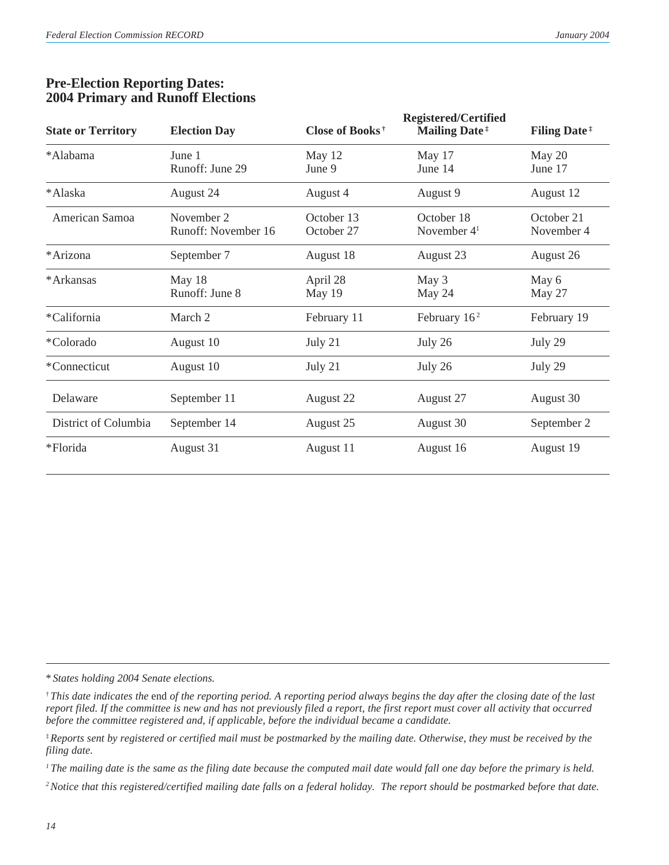| <b>State or Territory</b> | <b>Election Day</b>               | Close of Books <sup>†</sup> | <b>Registered/Certified</b><br><b>Mailing Date</b> <sup>#</sup> | <b>Filing Date</b> <sup>#</sup> |
|---------------------------|-----------------------------------|-----------------------------|-----------------------------------------------------------------|---------------------------------|
| *Alabama                  | June 1<br>Runoff: June 29         | May 12<br>June 9            | May 17<br>June 14                                               | May 20<br>June 17               |
| *Alaska                   | August 24                         | August 4                    | August 9                                                        | August 12                       |
| American Samoa            | November 2<br>Runoff: November 16 | October 13<br>October 27    | October 18<br>November 4 <sup>1</sup>                           | October 21<br>November 4        |
| *Arizona                  | September 7                       | August 18                   | August 23                                                       | August 26                       |
| *Arkansas                 | May 18<br>Runoff: June 8          | April 28<br>May 19          | May 3<br>May 24                                                 | May 6<br>May 27                 |
| *California               | March 2                           | February 11                 | February $162$                                                  | February 19                     |
| *Colorado                 | August 10                         | July 21                     | July 26                                                         | July 29                         |
| *Connecticut              | August 10                         | July 21                     | July 26                                                         | July 29                         |
| Delaware                  | September 11                      | August 22                   | August 27                                                       | August 30                       |
| District of Columbia      | September 14                      | August 25                   | August 30                                                       | September 2                     |
| *Florida                  | August 31                         | August 11                   | August 16                                                       | August 19                       |

## **Pre-Election Reporting Dates: 2004 Primary and Runoff Elections**

\* *States holding 2004 Senate elections.*

*1 The mailing date is the same as the filing date because the computed mail date would fall one day before the primary is held.*

<sup>†</sup> *This date indicates the* end *of the reporting period. A reporting period always begins the day after the closing date of the last report filed. If the committee is new and has not previously filed a report, the first report must cover all activity that occurred before the committee registered and, if applicable, before the individual became a candidate.*

<sup>‡</sup>*Reports sent by registered or certified mail must be postmarked by the mailing date. Otherwise, they must be received by the filing date.*

*<sup>2</sup>Notice that this registered/certified mailing date falls on a federal holiday. The report should be postmarked before that date.*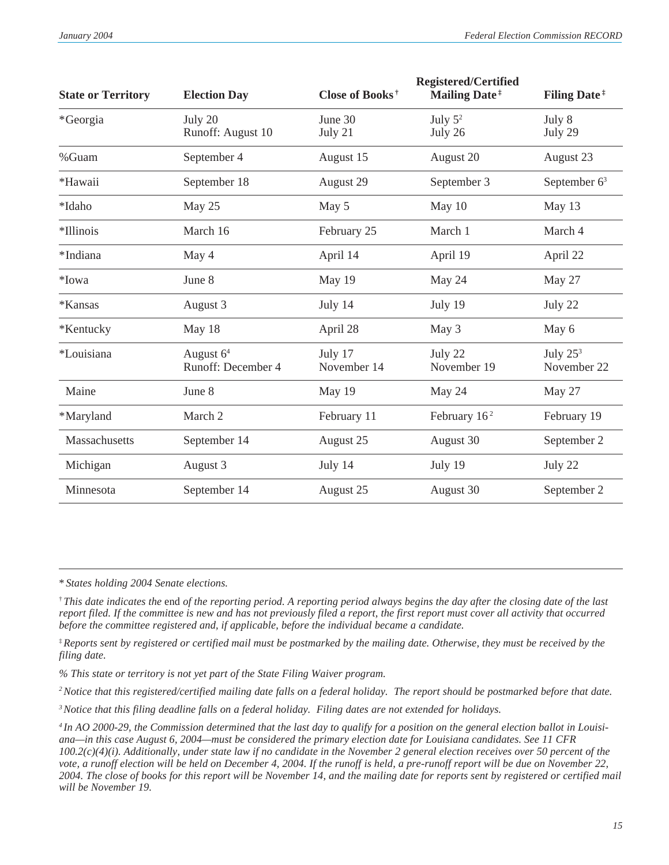| <b>State or Territory</b> | <b>Election Day</b>               | Close of Books <sup>†</sup> | <b>Registered/Certified</b><br><b>Mailing Date</b> <sup>#</sup> | <b>Filing Date</b> <sup>#</sup> |
|---------------------------|-----------------------------------|-----------------------------|-----------------------------------------------------------------|---------------------------------|
| *Georgia                  | July 20<br>Runoff: August 10      | June 30<br>July 21          | July $5^2$<br>July 26                                           | July 8<br>July 29               |
| %Guam                     | September 4                       | August 15                   | August 20                                                       | August 23                       |
| *Hawaii                   | September 18                      | August 29                   | September 3                                                     | September $63$                  |
| *Idaho                    | May 25                            | May 5                       | May 10                                                          | May 13                          |
| *Illinois                 | March 16                          | February 25                 | March 1                                                         | March 4                         |
| *Indiana                  | May 4                             | April 14                    | April 19                                                        | April 22                        |
| *Iowa                     | June 8                            | May 19                      | May 24                                                          | May 27                          |
| *Kansas                   | August 3                          | July 14                     | July 19                                                         | July 22                         |
| *Kentucky                 | May 18                            | April 28                    | May 3                                                           | May 6                           |
| *Louisiana                | August $64$<br>Runoff: December 4 | July 17<br>November 14      | July 22<br>November 19                                          | July $253$<br>November 22       |
| Maine                     | June 8                            | May 19                      | May 24                                                          | May 27                          |
| *Maryland                 | March 2                           | February 11                 | February $162$                                                  | February 19                     |
| Massachusetts             | September 14                      | August 25                   | August 30                                                       | September 2                     |
| Michigan                  | August 3                          | July 14                     | July 19                                                         | July 22                         |
| Minnesota                 | September 14                      | August 25                   | August 30                                                       | September 2                     |

\* *States holding 2004 Senate elections.*

† *This date indicates the* end *of the reporting period. A reporting period always begins the day after the closing date of the last report filed. If the committee is new and has not previously filed a report, the first report must cover all activity that occurred before the committee registered and, if applicable, before the individual became a candidate.*

‡*Reports sent by registered or certified mail must be postmarked by the mailing date. Otherwise, they must be received by the filing date.*

*% This state or territory is not yet part of the State Filing Waiver program.*

*2Notice that this registered/certified mailing date falls on a federal holiday. The report should be postmarked before that date.*

*3Notice that this filing deadline falls on a federal holiday. Filing dates are not extended for holidays.*

*4 In AO 2000-29, the Commission determined that the last day to qualify for a position on the general election ballot in Louisiana—in this case August 6, 2004—must be considered the primary election date for Louisiana candidates. See 11 CFR 100.2(c)(4)(i). Additionally, under state law if no candidate in the November 2 general election receives over 50 percent of the vote, a runoff election will be held on December 4, 2004. If the runoff is held, a pre-runoff report will be due on November 22, 2004. The close of books for this report will be November 14, and the mailing date for reports sent by registered or certified mail will be November 19.*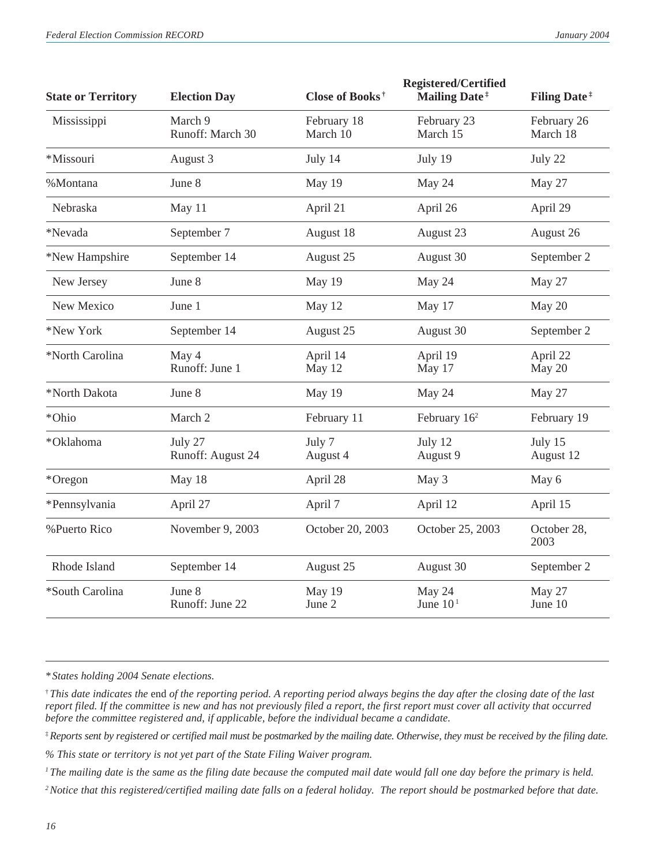| <b>State or Territory</b> | <b>Election Day</b>          | Close of Books <sup>†</sup> | <b>Registered/Certified</b><br><b>Mailing Date</b> <sup>#</sup> | <b>Filing Date</b> <sup>#</sup> |
|---------------------------|------------------------------|-----------------------------|-----------------------------------------------------------------|---------------------------------|
| Mississippi               | March 9<br>Runoff: March 30  | February 18<br>March 10     | February 23<br>March 15                                         | February 26<br>March 18         |
| *Missouri                 | August 3                     | July 14                     | July 19                                                         | July 22                         |
| %Montana                  | June 8                       | May 19                      | May 24                                                          | May 27                          |
| Nebraska                  | May 11                       | April 21                    | April 26                                                        | April 29                        |
| *Nevada                   | September 7                  | August 18                   | August 23                                                       | August 26                       |
| *New Hampshire            | September 14                 | August 25                   | August 30                                                       | September 2                     |
| New Jersey                | June 8                       | May 19                      | May 24                                                          | May 27                          |
| New Mexico                | June 1                       | May 12                      | May 17                                                          | May 20                          |
| *New York                 | September 14                 | August 25                   | August 30                                                       | September 2                     |
| *North Carolina           | May 4<br>Runoff: June 1      | April 14<br>May 12          | April 19<br>May 17                                              | April 22<br>May 20              |
| *North Dakota             | June 8                       | May 19                      | May 24                                                          | May 27                          |
| *Ohio                     | March 2                      | February 11                 | February 16 <sup>2</sup>                                        | February 19                     |
| *Oklahoma                 | July 27<br>Runoff: August 24 | July 7<br>August 4          | July 12<br>August 9                                             | July 15<br>August 12            |
| *Oregon                   | May 18                       | April 28                    | May 3                                                           | May 6                           |
| *Pennsylvania             | April 27                     | April 7                     | April 12                                                        | April 15                        |
| %Puerto Rico              | November 9, 2003             | October 20, 2003            | October 25, 2003                                                | October 28,<br>2003             |
| Rhode Island              | September 14                 | August 25                   | August 30                                                       | September 2                     |
| *South Carolina           | June 8<br>Runoff: June 22    | May 19<br>June 2            | May 24<br>June $101$                                            | May 27<br>June 10               |
|                           |                              |                             |                                                                 |                                 |

*\* States holding 2004 Senate elections.*

† *This date indicates the* end *of the reporting period. A reporting period always begins the day after the closing date of the last report filed. If the committee is new and has not previously filed a report, the first report must cover all activity that occurred before the committee registered and, if applicable, before the individual became a candidate.*

‡*Reports sent by registered or certified mail must be postmarked by the mailing date. Otherwise, they must be received by the filing date.*

*% This state or territory is not yet part of the State Filing Waiver program.*

*<sup>1</sup> The mailing date is the same as the filing date because the computed mail date would fall one day before the primary is held.*

*2Notice that this registered/certified mailing date falls on a federal holiday. The report should be postmarked before that date.*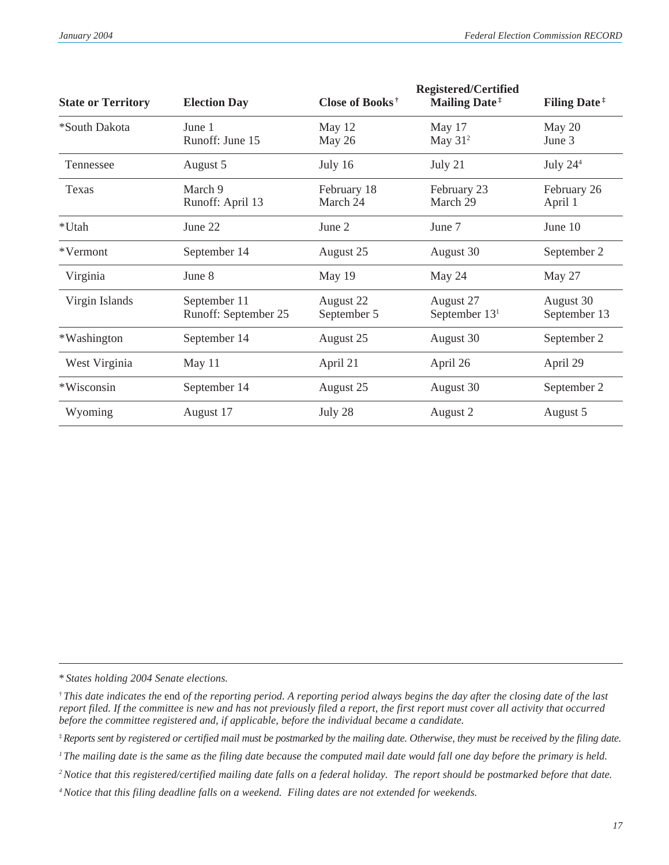| <b>State or Territory</b> | <b>Election Day</b>                  | Close of Books <sup>†</sup> | <b>Registered/Certified</b><br><b>Mailing Date</b> <sup>#</sup> | <b>Filing Date</b> <sup>#</sup> |
|---------------------------|--------------------------------------|-----------------------------|-----------------------------------------------------------------|---------------------------------|
| *South Dakota             | June 1<br>Runoff: June 15            | May 12<br>May 26            | May 17<br>May $312$                                             | May 20<br>June 3                |
| Tennessee                 | August 5                             | July 16                     | July 21                                                         | July $244$                      |
| Texas                     | March 9<br>Runoff: April 13          | February 18<br>March 24     | February 23<br>March 29                                         | February 26<br>April 1          |
| *Utah                     | June 22                              | June 2                      | June 7                                                          | June 10                         |
| *Vermont                  | September 14                         | August 25                   | August 30                                                       | September 2                     |
| Virginia                  | June 8                               | May 19                      | May 24                                                          | May 27                          |
| Virgin Islands            | September 11<br>Runoff: September 25 | August 22<br>September 5    | August 27<br>September $131$                                    | August 30<br>September 13       |
| *Washington               | September 14                         | August 25                   | August 30                                                       | September 2                     |
| West Virginia             | May 11                               | April 21                    | April 26                                                        | April 29                        |
| *Wisconsin                | September 14                         | August 25                   | August 30                                                       | September 2                     |
| Wyoming                   | August 17                            | July 28                     | August 2                                                        | August 5                        |

\* *States holding 2004 Senate elections.*

<sup>†</sup> *This date indicates the* end *of the reporting period. A reporting period always begins the day after the closing date of the last report filed. If the committee is new and has not previously filed a report, the first report must cover all activity that occurred before the committee registered and, if applicable, before the individual became a candidate.*

<sup>‡</sup>*Reports sent by registered or certified mail must be postmarked by the mailing date. Otherwise, they must be received by the filing date.*

*<sup>1</sup> The mailing date is the same as the filing date because the computed mail date would fall one day before the primary is held.*

*<sup>2</sup>Notice that this registered/certified mailing date falls on a federal holiday. The report should be postmarked before that date.*

*<sup>4</sup>Notice that this filing deadline falls on a weekend. Filing dates are not extended for weekends.*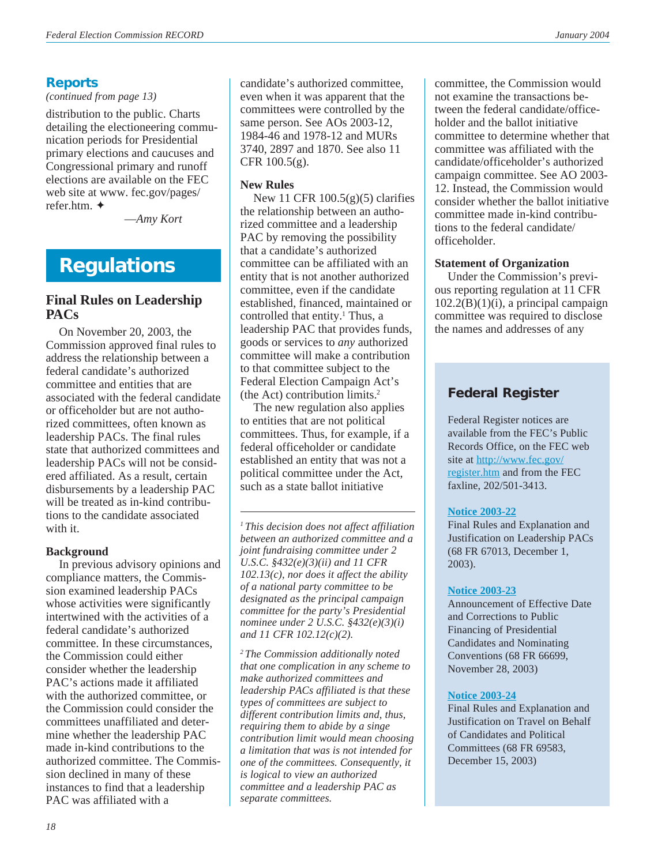# **Reports**

*(continued from page 13)*

distribution to the public. Charts detailing the electioneering communication periods for Presidential primary elections and caucuses and Congressional primary and runoff elections are available on the FEC web site at www. fec.gov/pages/ refer.htm. ✦

—*Amy Kort*

# **Regulations**

# **Final Rules on Leadership PACs**

On November 20, 2003, the Commission approved final rules to address the relationship between a federal candidate's authorized committee and entities that are associated with the federal candidate or officeholder but are not authorized committees, often known as leadership PACs. The final rules state that authorized committees and leadership PACs will not be considered affiliated. As a result, certain disbursements by a leadership PAC will be treated as in-kind contributions to the candidate associated with it.

### **Background**

In previous advisory opinions and compliance matters, the Commission examined leadership PACs whose activities were significantly intertwined with the activities of a federal candidate's authorized committee. In these circumstances, the Commission could either consider whether the leadership PAC's actions made it affiliated with the authorized committee, or the Commission could consider the committees unaffiliated and determine whether the leadership PAC made in-kind contributions to the authorized committee. The Commission declined in many of these instances to find that a leadership PAC was affiliated with a

candidate's authorized committee, even when it was apparent that the committees were controlled by the same person. See AOs 2003-12, 1984-46 and 1978-12 and MURs 3740, 2897 and 1870. See also 11 CFR 100.5(g).

### **New Rules**

New 11 CFR 100.5(g)(5) clarifies the relationship between an authorized committee and a leadership PAC by removing the possibility that a candidate's authorized committee can be affiliated with an entity that is not another authorized committee, even if the candidate established, financed, maintained or controlled that entity.<sup>1</sup> Thus, a leadership PAC that provides funds, goods or services to *any* authorized committee will make a contribution to that committee subject to the Federal Election Campaign Act's (the Act) contribution limits.2

The new regulation also applies to entities that are not political committees. Thus, for example, if a federal officeholder or candidate established an entity that was not a political committee under the Act, such as a state ballot initiative

*1 This decision does not affect affiliation between an authorized committee and a joint fundraising committee under 2 U.S.C. §432(e)(3)(ii) and 11 CFR 102.13(c), nor does it affect the ability of a national party committee to be designated as the principal campaign committee for the party's Presidential nominee under 2 U.S.C. §432(e)(3)(i) and 11 CFR 102.12(c)(2).*

*2 The Commission additionally noted that one complication in any scheme to make authorized committees and leadership PACs affiliated is that these types of committees are subject to different contribution limits and, thus, requiring them to abide by a singe contribution limit would mean choosing a limitation that was is not intended for one of the committees. Consequently, it is logical to view an authorized committee and a leadership PAC as separate committees.*

committee, the Commission would not examine the transactions between the federal candidate/officeholder and the ballot initiative committee to determine whether that committee was affiliated with the candidate/officeholder's authorized campaign committee. See AO 2003- 12. Instead, the Commission would consider whether the ballot initiative committee made in-kind contributions to the federal candidate/ officeholder.

### **Statement of Organization**

Under the Commission's previous reporting regulation at 11 CFR  $102.2(B)(1)(i)$ , a principal campaign committee was required to disclose the names and addresses of any

# **Federal Register**

Federal Register notices are available from the FEC's Public Records Office, on the FEC web site at [http://www.fec.gov/](http://www.fec.gov/register.htm) [register.htm](http://www.fec.gov/register.htm) and from the FEC faxline, 202/501-3413.

### **[Notice 2003-22](http://www.fec.gov/pdf/nprm/leadership_pacs/fr68n230p67013.pdf)**

Final Rules and Explanation and Justification on Leadership PACs (68 FR 67013, December 1, 2003).

### **[Notice 2003-23](http://www.fec.gov/pdf/nprm/public_financing/fr68n229p66699.pdf)**

Announcement of Effective Date and Corrections to Public Financing of Presidential Candidates and Nominating Conventions (68 FR 66699, November 28, 2003)

### **[Notice 2003-24](http://www.fec.gov/pdf/nprm/cand_travel/fr68n240p69583.pdf)**

Final Rules and Explanation and Justification on Travel on Behalf of Candidates and Political Committees (68 FR 69583, December 15, 2003)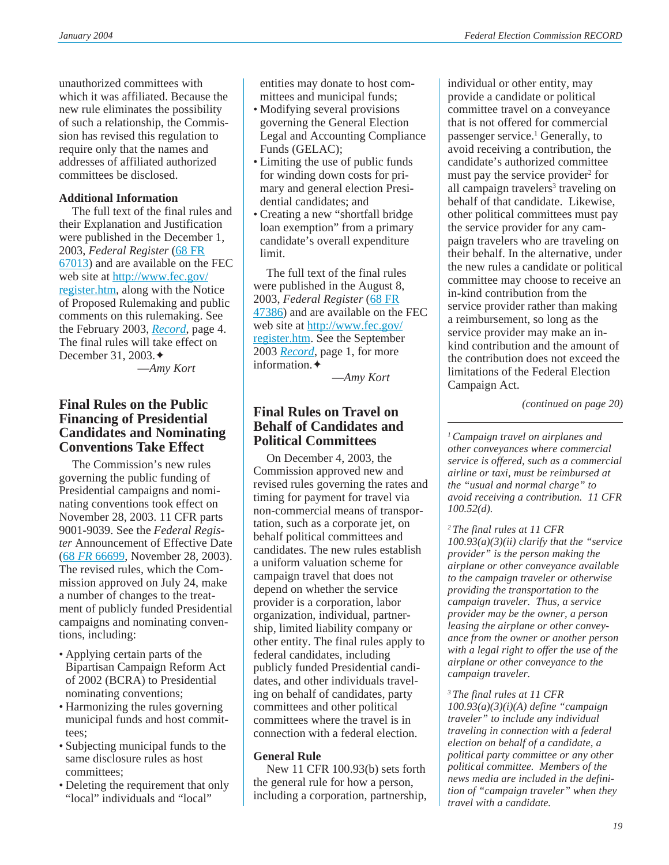unauthorized committees with which it was affiliated. Because the new rule eliminates the possibility of such a relationship, the Commission has revised this regulation to require only that the names and addresses of affiliated authorized committees be disclosed.

### **Additional Information**

The full text of the final rules and their Explanation and Justification were published in the December 1, 2003, *Federal Register* ([68 FR](http://www.fec.gov/pdf/nprm/leadership_pacs/fr68n230p67013.pdf) [67013](http://www.fec.gov/pdf/nprm/leadership_pacs/fr68n230p67013.pdf)) and are available on the FEC web site at [http://www.fec.gov/](http://www.fec.gov/register.htm) [register.htm](http://www.fec.gov/register.htm), along with the Notice of Proposed Rulemaking and public comments on this rulemaking. See the February 2003, *[Record](http://www.fec.gov/pdf/record/2003/feb03.pdf)*, page 4. The final rules will take effect on December 31, 2003.✦

—*Amy Kort*

## **Final Rules on the Public Financing of Presidential Candidates and Nominating Conventions Take Effect**

The Commission's new rules governing the public funding of Presidential campaigns and nominating conventions took effect on November 28, 2003. 11 CFR parts 9001-9039. See the *Federal Register* Announcement of Effective Date (68 *FR* [66699](http://www.fec.gov/pdf/nprm/public_financing/fr68n229p66699.pdf), November 28, 2003). The revised rules, which the Commission approved on July 24, make a number of changes to the treatment of publicly funded Presidential campaigns and nominating conventions, including:

- Applying certain parts of the Bipartisan Campaign Reform Act of 2002 (BCRA) to Presidential nominating conventions;
- Harmonizing the rules governing municipal funds and host committees;
- Subjecting municipal funds to the same disclosure rules as host committees;
- Deleting the requirement that only "local" individuals and "local"

entities may donate to host committees and municipal funds;

- Modifying several provisions governing the General Election Legal and Accounting Compliance Funds (GELAC);
- Limiting the use of public funds for winding down costs for primary and general election Presidential candidates; and
- Creating a new "shortfall bridge loan exemption" from a primary candidate's overall expenditure limit.

The full text of the final rules were published in the August 8, 2003, *Federal Register* ([68 FR](http://www.fec.gov/pdf/nprm/public_financing/fr68n153p47385.pdf) [47386](http://www.fec.gov/pdf/nprm/public_financing/fr68n153p47385.pdf)) and are available on the FEC web site at [http://www.fec.gov/](http://www.fec.gov/register.htm) [register.htm](http://www.fec.gov/register.htm). See the [September](http://www.fec.gov/pdf/record/2003/sep03.pdf) 2003 *[Record](http://www.fec.gov/pdf/record/2003/sep03.pdf)*, page 1, for more information.✦

—*Amy Kort*

# **Final Rules on Travel on Behalf of Candidates and Political Committees**

On December 4, 2003, the Commission approved new and revised rules governing the rates and timing for payment for travel via non-commercial means of transportation, such as a corporate jet, on behalf political committees and candidates. The new rules establish a uniform valuation scheme for campaign travel that does not depend on whether the service provider is a corporation, labor organization, individual, partnership, limited liability company or other entity. The final rules apply to federal candidates, including publicly funded Presidential candidates, and other individuals traveling on behalf of candidates, party committees and other political committees where the travel is in connection with a federal election.

### **General Rule**

New 11 CFR 100.93(b) sets forth the general rule for how a person, including a corporation, partnership, individual or other entity, may provide a candidate or political committee travel on a conveyance that is not offered for commercial passenger service.<sup>1</sup> Generally, to avoid receiving a contribution, the candidate's authorized committee must pay the service provider<sup>2</sup> for all campaign travelers<sup>3</sup> traveling on behalf of that candidate. Likewise, other political committees must pay the service provider for any campaign travelers who are traveling on their behalf. In the alternative, under the new rules a candidate or political committee may choose to receive an in-kind contribution from the service provider rather than making a reimbursement, so long as the service provider may make an inkind contribution and the amount of the contribution does not exceed the limitations of the Federal Election Campaign Act.

*(continued on page 20)*

*1 Campaign travel on airplanes and other conveyances where commercial service is offered, such as a commercial airline or taxi, must be reimbursed at the "usual and normal charge" to avoid receiving a contribution. 11 CFR 100.52(d).*

*2 The final rules at 11 CFR 100.93(a)(3)(ii) clarify that the "service provider" is the person making the airplane or other conveyance available to the campaign traveler or otherwise providing the transportation to the campaign traveler. Thus, a service provider may be the owner, a person leasing the airplane or other conveyance from the owner or another person with a legal right to offer the use of the airplane or other conveyance to the campaign traveler.*

*3 The final rules at 11 CFR*

*100.93(a)(3)(i)(A) define "campaign traveler" to include any individual traveling in connection with a federal election on behalf of a candidate, a political party committee or any other political committee. Members of the news media are included in the definition of "campaign traveler" when they travel with a candidate.*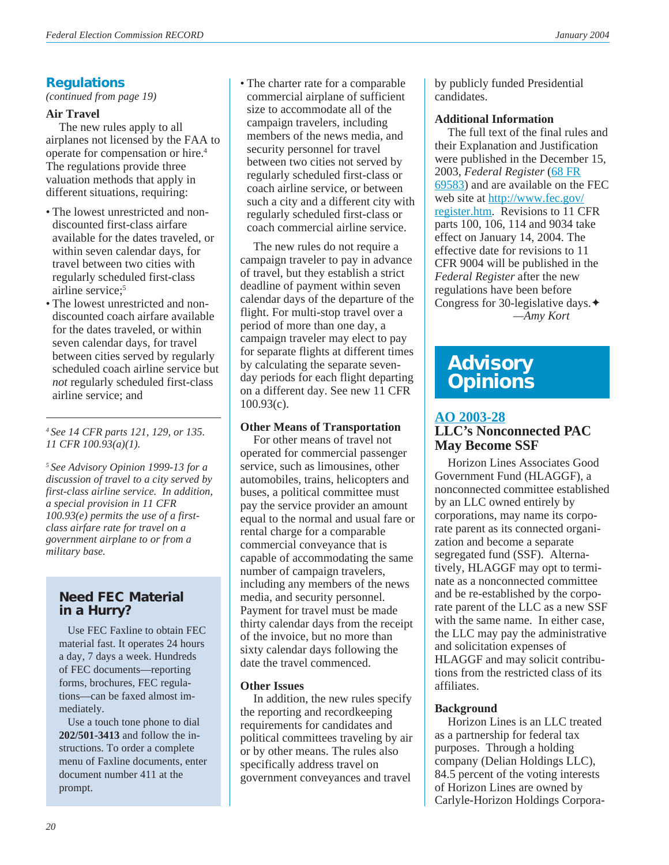# **Regulations**

*(continued from page 19)*

# **Air Travel**

The new rules apply to all airplanes not licensed by the FAA to operate for compensation or hire.4 The regulations provide three valuation methods that apply in different situations, requiring:

- The lowest unrestricted and nondiscounted first-class airfare available for the dates traveled, or within seven calendar days, for travel between two cities with regularly scheduled first-class airline service:<sup>5</sup>
- The lowest unrestricted and nondiscounted coach airfare available for the dates traveled, or within seven calendar days, for travel between cities served by regularly scheduled coach airline service but *not* regularly scheduled first-class airline service; and

*4 See 14 CFR parts 121, 129, or 135. 11 CFR 100.93(a)(1).*

*5 See Advisory Opinion 1999-13 for a discussion of travel to a city served by first-class airline service. In addition, a special provision in 11 CFR 100.93(e) permits the use of a firstclass airfare rate for travel on a government airplane to or from a military base.*

# **Need FEC Material in a Hurry?**

Use FEC Faxline to obtain FEC material fast. It operates 24 hours a day, 7 days a week. Hundreds of FEC documents—reporting forms, brochures, FEC regulations—can be faxed almost immediately.

Use a touch tone phone to dial **202/501-3413** and follow the instructions. To order a complete menu of Faxline documents, enter document number 411 at the prompt.

• The charter rate for a comparable commercial airplane of sufficient size to accommodate all of the campaign travelers, including members of the news media, and security personnel for travel between two cities not served by regularly scheduled first-class or coach airline service, or between such a city and a different city with regularly scheduled first-class or coach commercial airline service.

The new rules do not require a campaign traveler to pay in advance of travel, but they establish a strict deadline of payment within seven calendar days of the departure of the flight. For multi-stop travel over a period of more than one day, a campaign traveler may elect to pay for separate flights at different times by calculating the separate sevenday periods for each flight departing on a different day. See new 11 CFR 100.93(c).

### **Other Means of Transportation**

For other means of travel not operated for commercial passenger service, such as limousines, other automobiles, trains, helicopters and buses, a political committee must pay the service provider an amount equal to the normal and usual fare or rental charge for a comparable commercial conveyance that is capable of accommodating the same number of campaign travelers, including any members of the news media, and security personnel. Payment for travel must be made thirty calendar days from the receipt of the invoice, but no more than sixty calendar days following the date the travel commenced.

### **Other Issues**

In addition, the new rules specify the reporting and recordkeeping requirements for candidates and political committees traveling by air or by other means. The rules also specifically address travel on government conveyances and travel

by publicly funded Presidential candidates.

### **Additional Information**

The full text of the final rules and their Explanation and Justification were published in the December 15, 2003, *Federal Register* ([68 FR](http://www.fec.gov/pdf/nprm/cand_travel/fr68n240p69583.pdf) [69583](http://www.fec.gov/pdf/nprm/cand_travel/fr68n240p69583.pdf)) and are available on the FEC web site at [http://www.fec.gov/](http://www.fec.gov/register.htm) [register.htm](http://www.fec.gov/register.htm). Revisions to 11 CFR parts 100, 106, 114 and 9034 take effect on January 14, 2004. The effective date for revisions to 11 CFR 9004 will be published in the *Federal Register* after the new regulations have been before Congress for 30-legislative days.✦ *—Amy Kort*

# **Advisory Opinions**

# **[AO 2003-28](http://saos.fec.gov/aodocs/2003-28.pdf)**

# **LLC's Nonconnected PAC May Become SSF**

Horizon Lines Associates Good Government Fund (HLAGGF), a nonconnected committee established by an LLC owned entirely by corporations, may name its corporate parent as its connected organization and become a separate segregated fund (SSF). Alternatively, HLAGGF may opt to terminate as a nonconnected committee and be re-established by the corporate parent of the LLC as a new SSF with the same name. In either case, the LLC may pay the administrative and solicitation expenses of HLAGGF and may solicit contributions from the restricted class of its affiliates.

# **Background**

Horizon Lines is an LLC treated as a partnership for federal tax purposes. Through a holding company (Delian Holdings LLC), 84.5 percent of the voting interests of Horizon Lines are owned by Carlyle-Horizon Holdings Corpora-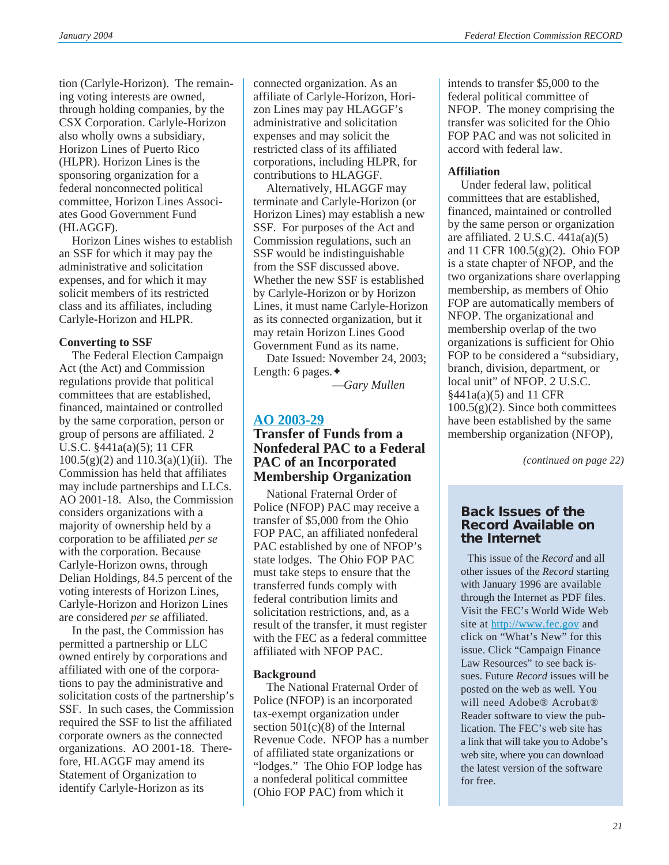tion (Carlyle-Horizon). The remaining voting interests are owned, through holding companies, by the CSX Corporation. Carlyle-Horizon also wholly owns a subsidiary, Horizon Lines of Puerto Rico (HLPR). Horizon Lines is the sponsoring organization for a federal nonconnected political committee, Horizon Lines Associates Good Government Fund (HLAGGF).

Horizon Lines wishes to establish an SSF for which it may pay the administrative and solicitation expenses, and for which it may solicit members of its restricted class and its affiliates, including Carlyle-Horizon and HLPR.

### **Converting to SSF**

The Federal Election Campaign Act (the Act) and Commission regulations provide that political committees that are established, financed, maintained or controlled by the same corporation, person or group of persons are affiliated. 2 U.S.C. §441a(a)(5); 11 CFR  $100.5(g)(2)$  and  $110.3(a)(1)(ii)$ . The Commission has held that affiliates may include partnerships and LLCs. AO 2001-18. Also, the Commission considers organizations with a majority of ownership held by a corporation to be affiliated *per se* with the corporation. Because Carlyle-Horizon owns, through Delian Holdings, 84.5 percent of the voting interests of Horizon Lines, Carlyle-Horizon and Horizon Lines are considered *per se* affiliated.

In the past, the Commission has permitted a partnership or LLC owned entirely by corporations and affiliated with one of the corporations to pay the administrative and solicitation costs of the partnership's SSF. In such cases, the Commission required the SSF to list the affiliated corporate owners as the connected organizations. AO 2001-18. Therefore, HLAGGF may amend its Statement of Organization to identify Carlyle-Horizon as its

connected organization. As an affiliate of Carlyle-Horizon, Horizon Lines may pay HLAGGF's administrative and solicitation expenses and may solicit the restricted class of its affiliated corporations, including HLPR, for contributions to HLAGGF.

Alternatively, HLAGGF may terminate and Carlyle-Horizon (or Horizon Lines) may establish a new SSF. For purposes of the Act and Commission regulations, such an SSF would be indistinguishable from the SSF discussed above. Whether the new SSF is established by Carlyle-Horizon or by Horizon Lines, it must name Carlyle-Horizon as its connected organization, but it may retain Horizon Lines Good Government Fund as its name.

Date Issued: November 24, 2003; Length: 6 pages.✦

—*Gary Mullen*

### **[AO 2003-29](http://saos.fec.gov/aodocs/2003-29.pdf)**

# **Transfer of Funds from a Nonfederal PAC to a Federal PAC of an Incorporated Membership Organization**

National Fraternal Order of Police (NFOP) PAC may receive a transfer of \$5,000 from the Ohio FOP PAC, an affiliated nonfederal PAC established by one of NFOP's state lodges. The Ohio FOP PAC must take steps to ensure that the transferred funds comply with federal contribution limits and solicitation restrictions, and, as a result of the transfer, it must register with the FEC as a federal committee affiliated with NFOP PAC.

### **Background**

The National Fraternal Order of Police (NFOP) is an incorporated tax-exempt organization under section  $501(c)(8)$  of the Internal Revenue Code. NFOP has a number of affiliated state organizations or "lodges." The Ohio FOP lodge has a nonfederal political committee (Ohio FOP PAC) from which it

intends to transfer \$5,000 to the federal political committee of NFOP. The money comprising the transfer was solicited for the Ohio FOP PAC and was not solicited in accord with federal law.

### **Affiliation**

Under federal law, political committees that are established, financed, maintained or controlled by the same person or organization are affiliated.  $2$  U.S.C.  $441a(a)(5)$ and 11 CFR 100.5(g)(2). Ohio FOP is a state chapter of NFOP, and the two organizations share overlapping membership, as members of Ohio FOP are automatically members of NFOP. The organizational and membership overlap of the two organizations is sufficient for Ohio FOP to be considered a "subsidiary, branch, division, department, or local unit" of NFOP. 2 U.S.C. §441a(a)(5) and 11 CFR 100.5(g)(2). Since both committees have been established by the same membership organization (NFOP),

*(continued on page 22)*

### **Back Issues of the Record Available on the Internet**

This issue of the *Record* and all other issues of the *Record* starting with January 1996 are available through the Internet as PDF files. Visit the FEC's World Wide Web site at <http://www.fec.gov> and click on "What's New" for this issue. Click "Campaign Finance Law Resources" to see back issues. Future *Record* issues will be posted on the web as well. You will need Adobe® Acrobat® Reader software to view the publication. The FEC's web site has a link that will take you to Adobe's web site, where you can download the latest version of the software for free.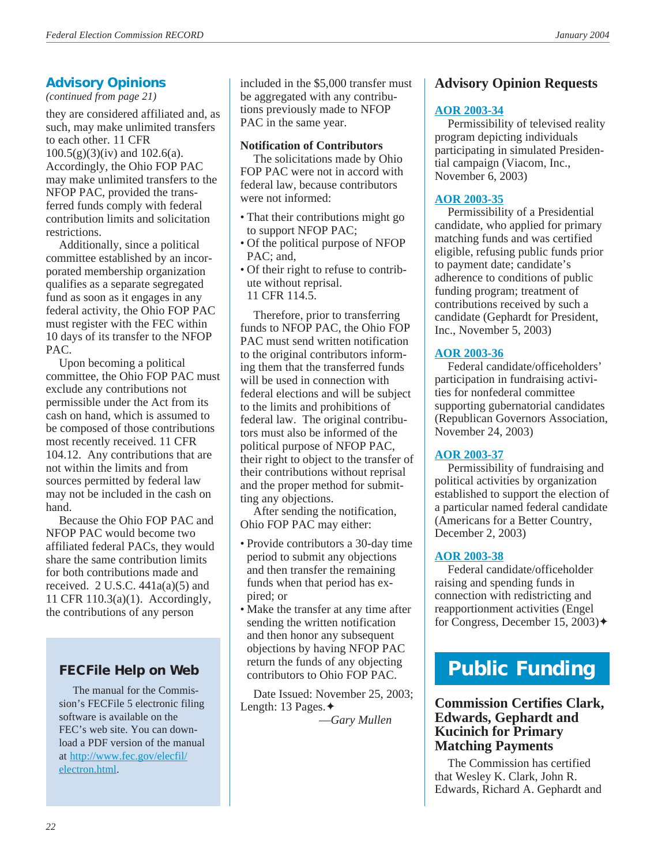# **Advisory Opinions**

*(continued from page 21)*

they are considered affiliated and, as such, may make unlimited transfers to each other. 11 CFR 100.5(g)(3)(iv) and 102.6(a). Accordingly, the Ohio FOP PAC may make unlimited transfers to the NFOP PAC, provided the transferred funds comply with federal contribution limits and solicitation restrictions.

Additionally, since a political committee established by an incorporated membership organization qualifies as a separate segregated fund as soon as it engages in any federal activity, the Ohio FOP PAC must register with the FEC within 10 days of its transfer to the NFOP PAC.

Upon becoming a political committee, the Ohio FOP PAC must exclude any contributions not permissible under the Act from its cash on hand, which is assumed to be composed of those contributions most recently received. 11 CFR 104.12. Any contributions that are not within the limits and from sources permitted by federal law may not be included in the cash on hand.

Because the Ohio FOP PAC and NFOP PAC would become two affiliated federal PACs, they would share the same contribution limits for both contributions made and received.  $2 \text{ U.S.C. } 441a(a)(5)$  and 11 CFR 110.3(a)(1). Accordingly, the contributions of any person

# **FECFile Help on Web**

 The manual for the Commission's FECFile 5 electronic filing software is available on the FEC's web site. You can download a PDF version of the manual at [http://www.fec.gov/elecfil/](http://www.fec.gov/elecfil/electron.html) [electron.html.](http://www.fec.gov/elecfil/electron.html)

included in the \$5,000 transfer must be aggregated with any contributions previously made to NFOP PAC in the same year.

### **Notification of Contributors**

The solicitations made by Ohio FOP PAC were not in accord with federal law, because contributors were not informed:

- That their contributions might go to support NFOP PAC;
- Of the political purpose of NFOP PAC: and,
- Of their right to refuse to contribute without reprisal. 11 CFR 114.5.

Therefore, prior to transferring funds to NFOP PAC, the Ohio FOP PAC must send written notification to the original contributors informing them that the transferred funds will be used in connection with federal elections and will be subject to the limits and prohibitions of federal law. The original contributors must also be informed of the political purpose of NFOP PAC, their right to object to the transfer of their contributions without reprisal and the proper method for submitting any objections.

After sending the notification, Ohio FOP PAC may either:

- Provide contributors a 30-day time period to submit any objections and then transfer the remaining funds when that period has expired; or
- Make the transfer at any time after sending the written notification and then honor any subsequent objections by having NFOP PAC return the funds of any objecting contributors to Ohio FOP PAC.

Date Issued: November 25, 2003; Length: 13 Pages.✦

—*Gary Mullen*

# **Advisory Opinion Requests**

# **[AOR 2003-34](http://saos.fec.gov/saos/searchao)**

Permissibility of televised reality program depicting individuals participating in simulated Presidential campaign (Viacom, Inc., November 6, 2003)

# **[AOR 2003-35](http://saos.fec.gov/saos/searchao)**

Permissibility of a Presidential candidate, who applied for primary matching funds and was certified eligible, refusing public funds prior to payment date; candidate's adherence to conditions of public funding program; treatment of contributions received by such a candidate (Gephardt for President, Inc., November 5, 2003)

# **[AOR 2003-36](http://saos.fec.gov/saos/searchao)**

Federal candidate/officeholders' participation in fundraising activities for nonfederal committee supporting gubernatorial candidates (Republican Governors Association, November 24, 2003)

### **[AOR 2003-37](http://saos.fec.gov/saos/searchao)**

Permissibility of fundraising and political activities by organization established to support the election of a particular named federal candidate (Americans for a Better Country, December 2, 2003)

# **[AOR 2003-38](http://saos.fec.gov/saos/searchao)**

Federal candidate/officeholder raising and spending funds in connection with redistricting and reapportionment activities (Engel for Congress, December 15, 2003)✦

# **Public Funding**

**Commission Certifies Clark, Edwards, Gephardt and Kucinich for Primary Matching Payments**

The Commission has certified that Wesley K. Clark, John R. Edwards, Richard A. Gephardt and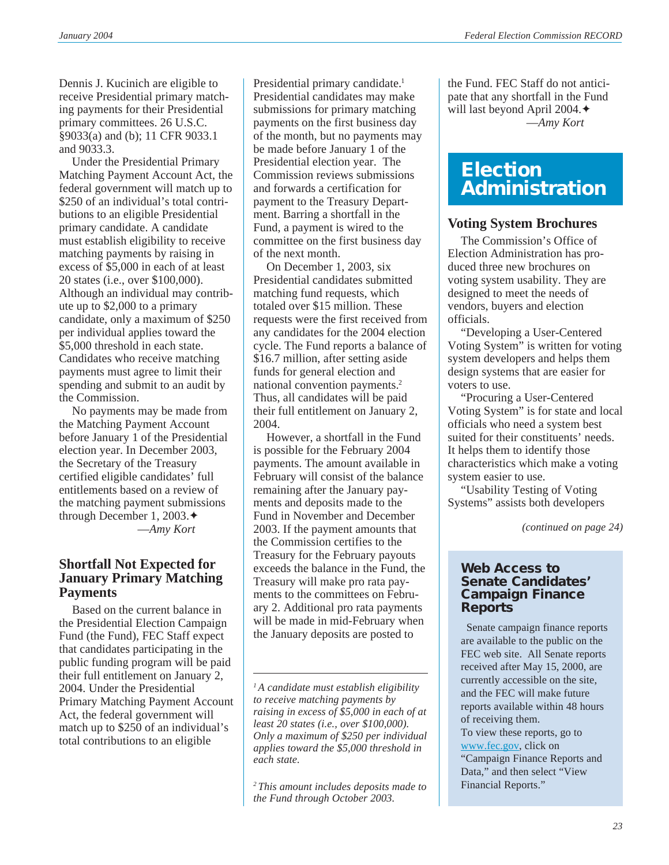Dennis J. Kucinich are eligible to receive Presidential primary matching payments for their Presidential primary committees. 26 U.S.C. §9033(a) and (b); 11 CFR 9033.1 and 9033.3.

Under the Presidential Primary Matching Payment Account Act, the federal government will match up to \$250 of an individual's total contributions to an eligible Presidential primary candidate. A candidate must establish eligibility to receive matching payments by raising in excess of \$5,000 in each of at least 20 states (i.e., over \$100,000). Although an individual may contribute up to \$2,000 to a primary candidate, only a maximum of \$250 per individual applies toward the \$5,000 threshold in each state. Candidates who receive matching payments must agree to limit their spending and submit to an audit by the Commission.

No payments may be made from the Matching Payment Account before January 1 of the Presidential election year. In December 2003, the Secretary of the Treasury certified eligible candidates' full entitlements based on a review of the matching payment submissions through December 1, 2003.✦ —*Amy Kort*

# **Shortfall Not Expected for January Primary Matching Payments**

Based on the current balance in the Presidential Election Campaign Fund (the Fund), FEC Staff expect that candidates participating in the public funding program will be paid their full entitlement on January 2, 2004. Under the Presidential Primary Matching Payment Account Act, the federal government will match up to \$250 of an individual's total contributions to an eligible

Presidential primary candidate.<sup>1</sup> Presidential candidates may make submissions for primary matching payments on the first business day of the month, but no payments may be made before January 1 of the Presidential election year. The Commission reviews submissions and forwards a certification for payment to the Treasury Department. Barring a shortfall in the Fund, a payment is wired to the committee on the first business day of the next month.

On December 1, 2003, six Presidential candidates submitted matching fund requests, which totaled over \$15 million. These requests were the first received from any candidates for the 2004 election cycle. The Fund reports a balance of \$16.7 million, after setting aside funds for general election and national convention payments.2 Thus, all candidates will be paid their full entitlement on January 2, 2004.

However, a shortfall in the Fund is possible for the February 2004 payments. The amount available in February will consist of the balance remaining after the January payments and deposits made to the Fund in November and December 2003. If the payment amounts that the Commission certifies to the Treasury for the February payouts exceeds the balance in the Fund, the Treasury will make pro rata payments to the committees on February 2. Additional pro rata payments will be made in mid-February when the January deposits are posted to

*1 A candidate must establish eligibility to receive matching payments by raising in excess of \$5,000 in each of at least 20 states (i.e., over \$100,000). Only a maximum of \$250 per individual applies toward the \$5,000 threshold in each state.*

*2 This amount includes deposits made to the Fund through October 2003.*

the Fund. FEC Staff do not anticipate that any shortfall in the Fund will last beyond April 2004.✦ —*Amy Kort*

# **Election Administration**

# **Voting System Brochures**

The Commission's Office of Election Administration has produced three new brochures on voting system usability. They are designed to meet the needs of vendors, buyers and election officials.

"Developing a User-Centered Voting System" is written for voting system developers and helps them design systems that are easier for voters to use.

"Procuring a User-Centered Voting System" is for state and local officials who need a system best suited for their constituents' needs. It helps them to identify those characteristics which make a voting system easier to use.

"Usability Testing of Voting Systems" assists both developers

*(continued on page 24)*

### **Web Access to Senate Candidates' Campaign Finance Reports**

Senate campaign finance reports are available to the public on the FEC web site. All Senate reports received after May 15, 2000, are currently accessible on the site, and the FEC will make future reports available within 48 hours of receiving them.

To view these reports, go to [www.fec.gov](http://www.fec.gov), click on "Campaign Finance Reports and Data," and then select "View Financial Reports."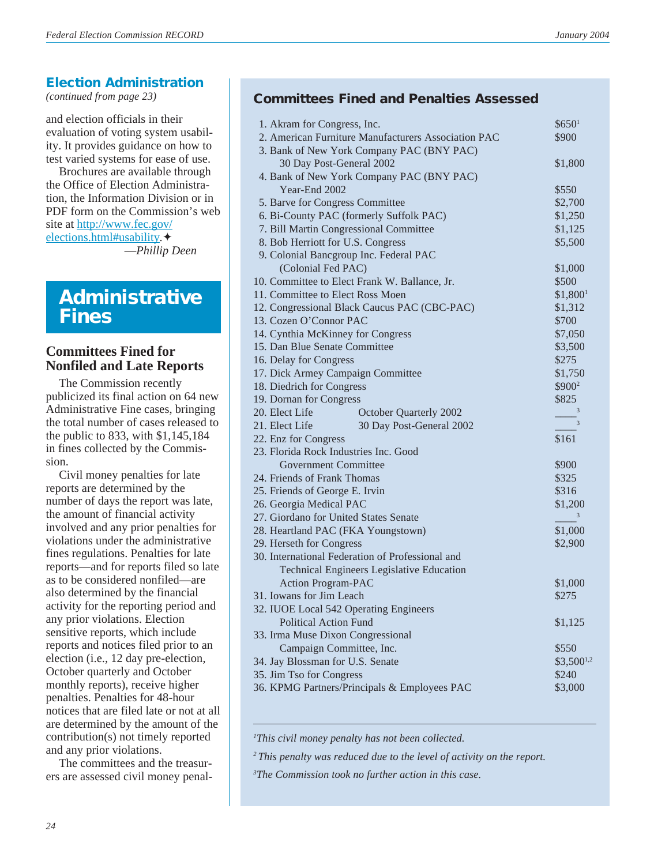# **Election Administration**

*(continued from page 23)*

and election officials in their evaluation of voting system usability. It provides guidance on how to test varied systems for ease of use.

Brochures are available through the Office of Election Administration, the Information Division or in PDF form on the Commission's web site at [http://www.fec.gov/](http://www.fec.gov/elections.html#usability) [elections.html#usability](http://www.fec.gov/elections.html#usability).✦ —*Phillip Deen*

# **Administrative Fines**

# **Committees Fined for Nonfiled and Late Reports**

The Commission recently publicized its final action on 64 new Administrative Fine cases, bringing the total number of cases released to the public to 833, with \$1,145,184 in fines collected by the Commission.

Civil money penalties for late reports are determined by the number of days the report was late, the amount of financial activity involved and any prior penalties for violations under the administrative fines regulations. Penalties for late reports—and for reports filed so late as to be considered nonfiled—are also determined by the financial activity for the reporting period and any prior violations. Election sensitive reports, which include reports and notices filed prior to an election (i.e., 12 day pre-election, October quarterly and October monthly reports), receive higher penalties. Penalties for 48-hour notices that are filed late or not at all are determined by the amount of the contribution(s) not timely reported and any prior violations.

The committees and the treasurers are assessed civil money penal-

# **Committees Fined and Penalties Assessed**

| 1. Akram for Congress, Inc.                         | \$650 <sup>1</sup>         |
|-----------------------------------------------------|----------------------------|
| 2. American Furniture Manufacturers Association PAC | \$900                      |
| 3. Bank of New York Company PAC (BNY PAC)           |                            |
| 30 Day Post-General 2002                            | \$1,800                    |
| 4. Bank of New York Company PAC (BNY PAC)           |                            |
| Year-End 2002                                       | \$550                      |
| 5. Barve for Congress Committee                     | \$2,700                    |
| 6. Bi-County PAC (formerly Suffolk PAC)             | \$1,250                    |
| 7. Bill Martin Congressional Committee              | \$1,125                    |
| 8. Bob Herriott for U.S. Congress                   | \$5,500                    |
| 9. Colonial Bancgroup Inc. Federal PAC              |                            |
| (Colonial Fed PAC)                                  | \$1,000                    |
| 10. Committee to Elect Frank W. Ballance, Jr.       | \$500                      |
| 11. Committee to Elect Ross Moen                    | \$1,800 <sup>1</sup>       |
| 12. Congressional Black Caucus PAC (CBC-PAC)        | \$1,312                    |
| 13. Cozen O'Connor PAC                              | \$700                      |
| 14. Cynthia McKinney for Congress                   | \$7,050                    |
| 15. Dan Blue Senate Committee                       | \$3,500                    |
| 16. Delay for Congress                              | \$275                      |
| 17. Dick Armey Campaign Committee                   | \$1,750                    |
| 18. Diedrich for Congress                           | \$900 <sup>2</sup>         |
| 19. Dornan for Congress                             | \$825                      |
| 20. Elect Life<br>October Quarterly 2002            | 3                          |
| 30 Day Post-General 2002<br>21. Elect Life          | $\overline{\phantom{a}}$ 3 |
| 22. Enz for Congress                                | \$161                      |
| 23. Florida Rock Industries Inc. Good               |                            |
| <b>Government Committee</b>                         | \$900                      |
| 24. Friends of Frank Thomas                         | \$325                      |
| 25. Friends of George E. Irvin                      | \$316                      |
| 26. Georgia Medical PAC                             | \$1,200                    |
| 27. Giordano for United States Senate               | $\overline{\mathbf{3}}$    |
| 28. Heartland PAC (FKA Youngstown)                  | \$1,000                    |
| 29. Herseth for Congress                            | \$2,900                    |
| 30. International Federation of Professional and    |                            |
| Technical Engineers Legislative Education           |                            |
| <b>Action Program-PAC</b>                           | \$1,000                    |
| 31. Iowans for Jim Leach                            | \$275                      |
| 32. IUOE Local 542 Operating Engineers              |                            |
| <b>Political Action Fund</b>                        | \$1,125                    |
| 33. Irma Muse Dixon Congressional                   |                            |
| Campaign Committee, Inc.                            | \$550                      |
| 34. Jay Blossman for U.S. Senate                    | $$3,500^{1,2}$             |
| 35. Jim Tso for Congress                            | \$240                      |
| 36. KPMG Partners/Principals & Employees PAC        | \$3,000                    |
|                                                     |                            |

*1 This civil money penalty has not been collected.*

*2 This penalty was reduced due to the level of activity on the report.*

*3 The Commission took no further action in this case.*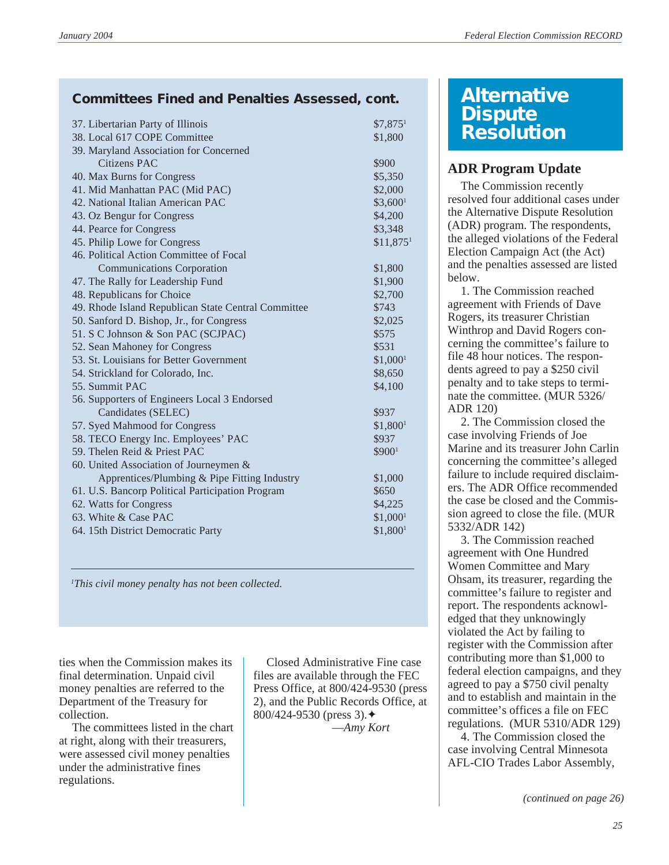# **Committees Fined and Penalties Assessed, cont.**

| 37. Libertarian Party of Illinois                   | $$7,875$ <sup>1</sup>  |
|-----------------------------------------------------|------------------------|
| 38. Local 617 COPE Committee                        | \$1,800                |
| 39. Maryland Association for Concerned              |                        |
| Citizens PAC                                        | \$900                  |
| 40. Max Burns for Congress                          | \$5,350                |
| 41. Mid Manhattan PAC (Mid PAC)                     | \$2,000                |
| 42. National Italian American PAC                   | \$3,600 <sup>1</sup>   |
| 43. Oz Bengur for Congress                          | \$4,200                |
| 44. Pearce for Congress                             | \$3,348                |
| 45. Philip Lowe for Congress                        | $$11,875$ <sup>1</sup> |
| 46. Political Action Committee of Focal             |                        |
| <b>Communications Corporation</b>                   | \$1,800                |
| 47. The Rally for Leadership Fund                   | \$1,900                |
| 48. Republicans for Choice                          | \$2,700                |
| 49. Rhode Island Republican State Central Committee | \$743                  |
| 50. Sanford D. Bishop, Jr., for Congress            | \$2,025                |
| 51. S C Johnson & Son PAC (SCJPAC)                  | \$575                  |
| 52. Sean Mahoney for Congress                       | \$531                  |
| 53. St. Louisians for Better Government             | $$1,000$ <sup>1</sup>  |
| 54. Strickland for Colorado, Inc.                   | \$8,650                |
| 55. Summit PAC                                      | \$4,100                |
| 56. Supporters of Engineers Local 3 Endorsed        |                        |
| Candidates (SELEC)                                  | \$937                  |
| 57. Syed Mahmood for Congress                       | \$1,800 <sup>1</sup>   |
| 58. TECO Energy Inc. Employees' PAC                 | \$937                  |
| 59. Thelen Reid & Priest PAC                        | \$9001                 |
| 60. United Association of Journeymen &              |                        |
| Apprentices/Plumbing & Pipe Fitting Industry        | \$1,000                |
| 61. U.S. Bancorp Political Participation Program    | \$650                  |
| 62. Watts for Congress                              | \$4,225                |
| 63. White & Case PAC                                | $$1,000$ <sup>1</sup>  |
| 64. 15th District Democratic Party                  | \$1,800 <sup>1</sup>   |
|                                                     |                        |

*1 This civil money penalty has not been collected.*

ties when the Commission makes its final determination. Unpaid civil money penalties are referred to the Department of the Treasury for collection.

The committees listed in the chart at right, along with their treasurers, were assessed civil money penalties under the administrative fines regulations.

Closed Administrative Fine case files are available through the FEC Press Office, at 800/424-9530 (press 2), and the Public Records Office, at 800/424-9530 (press 3).✦

—*Amy Kort*

# **Alternative Dispute Resolution**

# **ADR Program Update**

The Commission recently resolved four additional cases under the Alternative Dispute Resolution (ADR) program. The respondents, the alleged violations of the Federal Election Campaign Act (the Act) and the penalties assessed are listed below.

1. The Commission reached agreement with Friends of Dave Rogers, its treasurer Christian Winthrop and David Rogers concerning the committee's failure to file 48 hour notices. The respondents agreed to pay a \$250 civil penalty and to take steps to terminate the committee. (MUR 5326/ ADR 120)

2. The Commission closed the case involving Friends of Joe Marine and its treasurer John Carlin concerning the committee's alleged failure to include required disclaimers. The ADR Office recommended the case be closed and the Commission agreed to close the file. (MUR 5332/ADR 142)

3. The Commission reached agreement with One Hundred Women Committee and Mary Ohsam, its treasurer, regarding the committee's failure to register and report. The respondents acknowledged that they unknowingly violated the Act by failing to register with the Commission after contributing more than \$1,000 to federal election campaigns, and they agreed to pay a \$750 civil penalty and to establish and maintain in the committee's offices a file on FEC regulations. (MUR 5310/ADR 129)

4. The Commission closed the case involving Central Minnesota AFL-CIO Trades Labor Assembly,

*(continued on page 26)*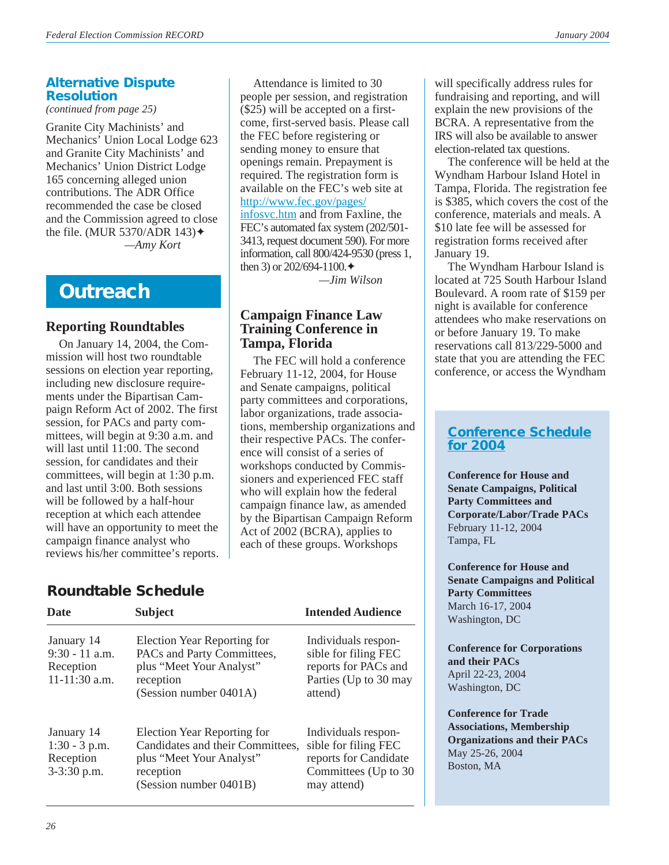# **Alternative Dispute Resolution**

*(continued from page 25)*

Granite City Machinists' and Mechanics' Union Local Lodge 623 and Granite City Machinists' and Mechanics' Union District Lodge 165 concerning alleged union contributions. The ADR Office recommended the case be closed and the Commission agreed to close the file. (MUR 5370/ADR 143) $\triangleleft$ *—Amy Kort*

# **Outreach**

# **Reporting Roundtables**

On January 14, 2004, the Commission will host two roundtable sessions on election year reporting, including new disclosure requirements under the Bipartisan Campaign Reform Act of 2002. The first session, for PACs and party committees, will begin at 9:30 a.m. and will last until 11:00. The second session, for candidates and their committees, will begin at 1:30 p.m. and last until 3:00. Both sessions will be followed by a half-hour reception at which each attendee will have an opportunity to meet the campaign finance analyst who reviews his/her committee's reports.

# **Roundtable Schedule**

| <b>Date</b>                                                  | <b>Subject</b>                                                                                                                     | <b>Intended Audience</b>                                                                                     |
|--------------------------------------------------------------|------------------------------------------------------------------------------------------------------------------------------------|--------------------------------------------------------------------------------------------------------------|
| January 14<br>$9:30 - 11$ a.m.<br>Reception<br>11-11:30 a.m. | Election Year Reporting for<br>PACs and Party Committees,<br>plus "Meet Your Analyst"<br>reception<br>(Session number 0401A)       | Individuals respon-<br>sible for filing FEC<br>reports for PACs and<br>Parties (Up to 30 may<br>attend)      |
| January 14<br>$1:30 - 3$ p.m.<br>Reception<br>3-3:30 p.m.    | Election Year Reporting for<br>Candidates and their Committees,<br>plus "Meet Your Analyst"<br>reception<br>(Session number 0401B) | Individuals respon-<br>sible for filing FEC<br>reports for Candidate<br>Committees (Up to 30)<br>may attend) |

Attendance is limited to 30 people per session, and registration (\$25) will be accepted on a firstcome, first-served basis. Please call the FEC before registering or sending money to ensure that will specifically address rules for fundraising and reporting, and will explain the new provisions of the BCRA. A representative from the IRS will also be available to answer

openings remain. Prepayment is required. The registration form is available on the FEC's web site at

[infosvc.htm](http://www.fec.gov/pages/infosvc.htm) and from Faxline, the FEC's automated fax system (202/501- 3413, request document 590). For more information, call 800/424-9530 (press 1,

*—Jim Wilson*

[http://www.fec.gov/pages/](http://www.fec.gov/pages/infosvc.htm)

then 3) or  $202/694-1100.$ 

**Tampa, Florida**

**Campaign Finance Law Training Conference in**

The FEC will hold a conference February 11-12, 2004, for House and Senate campaigns, political party committees and corporations, labor organizations, trade associations, membership organizations and their respective PACs. The conference will consist of a series of workshops conducted by Commissioners and experienced FEC staff who will explain how the federal campaign finance law, as amended by the Bipartisan Campaign Reform Act of 2002 (BCRA), applies to each of these groups. Workshops

election-related tax questions. The conference will be held at the Wyndham Harbour Island Hotel in Tampa, Florida. The registration fee is \$385, which covers the cost of the conference, materials and meals. A \$10 late fee will be assessed for registration forms received after January 19.

The Wyndham Harbour Island is located at 725 South Harbour Island Boulevard. A room rate of \$159 per night is available for conference attendees who make reservations on or before January 19. To make reservations call 813/229-5000 and state that you are attending the FEC conference, or access the Wyndham

# **[Conference Schedule](http://www.fec.gov/pages/infosvc.htm#Conferences) [for 2004](http://www.fec.gov/pages/infosvc.htm#Conferences)**

**Conference for House and Senate Campaigns, Political Party Committees and Corporate/Labor/Trade PACs** February 11-12, 2004 Tampa, FL

**Conference for House and Senate Campaigns and Political Party Committees** March 16-17, 2004 Washington, DC

**Conference for Corporations and their PACs** April 22-23, 2004 Washington, DC

**Conference for Trade Associations, Membership Organizations and their PACs** May 25-26, 2004 Boston, MA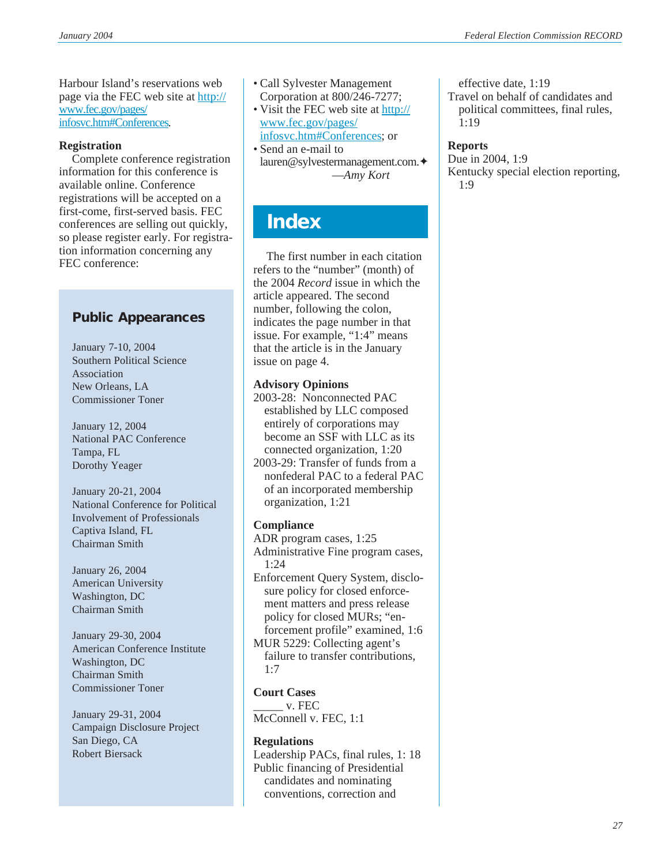Harbour Island's reservations web page via the FEC web site at [http://](http://www.fec.gov/pages/infosvc.htm#Conferences) [www.fec.gov/pages/](http://www.fec.gov/pages/infosvc.htm#Conferences) [infosvc.htm#Conferences](http://www.fec.gov/pages/infosvc.htm#Conferences).

### **Registration**

Complete conference registration information for this conference is available online. Conference registrations will be accepted on a first-come, first-served basis. FEC conferences are selling out quickly, so please register early. For registration information concerning any FEC conference:

# **Public Appearances**

January 7-10, 2004 Southern Political Science Association New Orleans, LA Commissioner Toner

January 12, 2004 National PAC Conference Tampa, FL Dorothy Yeager

January 20-21, 2004 National Conference for Political Involvement of Professionals Captiva Island, FL Chairman Smith

January 26, 2004 American University Washington, DC Chairman Smith

January 29-30, 2004 American Conference Institute Washington, DC Chairman Smith Commissioner Toner

January 29-31, 2004 Campaign Disclosure Project San Diego, CA Robert Biersack

- Call Sylvester Management Corporation at 800/246-7277;
- Visit the FEC web site at [http://](http://www.fec.gov/pages/infosvc.htm#Conferences) [www.fec.gov/pages/](http://www.fec.gov/pages/infosvc.htm#Conferences) [infosvc.htm#Conferences](http://www.fec.gov/pages/infosvc.htm#Conferences); or
- Send an e-mail to lauren@sylvestermanagement.com.✦ —*Amy Kort*

# **Index**

The first number in each citation refers to the "number" (month) of the 2004 *Record* issue in which the article appeared. The second number, following the colon, indicates the page number in that issue. For example, "1:4" means that the article is in the January issue on page 4.

### **Advisory Opinions**

- 2003-28: Nonconnected PAC established by LLC composed entirely of corporations may become an SSF with LLC as its connected organization, 1:20
- 2003-29: Transfer of funds from a nonfederal PAC to a federal PAC of an incorporated membership organization, 1:21

### **Compliance**

- ADR program cases, 1:25 Administrative Fine program cases, 1:24 Enforcement Query System, disclosure policy for closed enforcement matters and press release policy for closed MURs; "enforcement profile" examined, 1:6 MUR 5229: Collecting agent's
- failure to transfer contributions, 1:7

### **Court Cases**

\_\_\_\_\_ v. FEC McConnell v. FEC, 1:1

### **Regulations**

Leadership PACs, final rules, 1: 18 Public financing of Presidential candidates and nominating conventions, correction and

effective date, 1:19 Travel on behalf of candidates and political committees, final rules, 1:19

### **Reports**

Due in 2004, 1:9 Kentucky special election reporting, 1:9